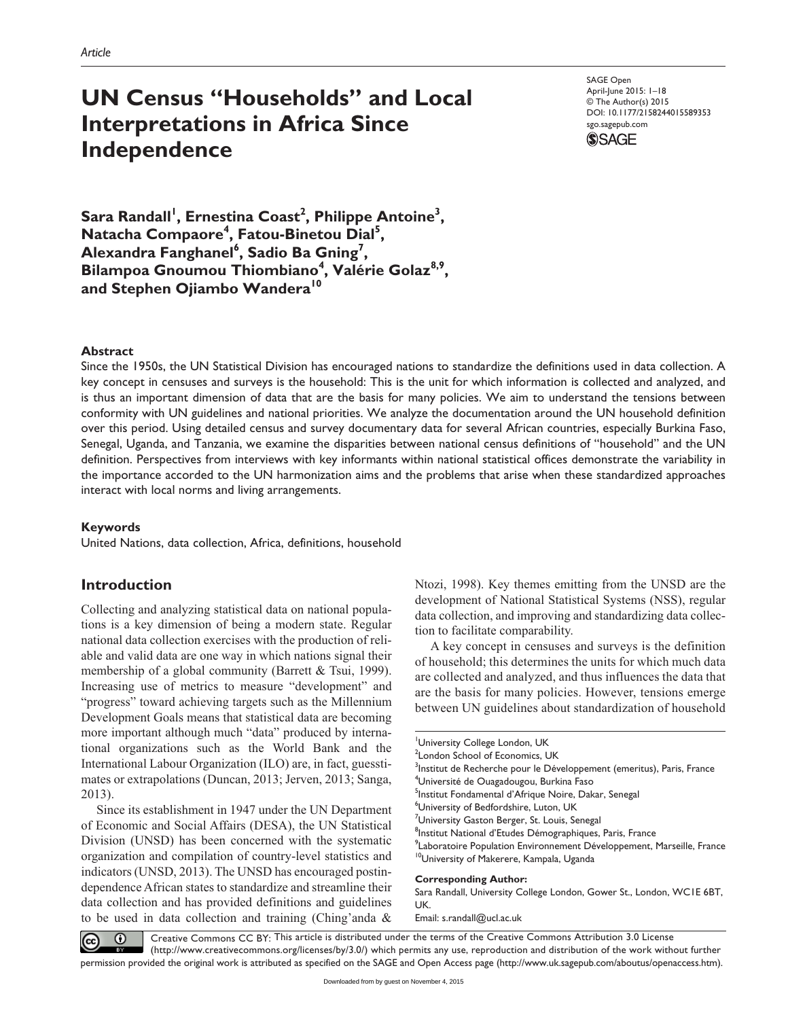# **UN Census "Households" and Local Interpretations in Africa Since Independence**

SAGE Open April-June 2015: 1–18 © The Author(s) 2015 DOI: 10.1177/2158244015589353 sgo.sagepub.com



 $\mathsf{Sara\, Randall}^!$ , Ernestina Coast<sup>2</sup>, Philippe Antoine<sup>3</sup>, Natacha Compaore<sup>4</sup>, Fatou-Binetou Dial<sup>5</sup>, **Alexandra Fanghanel6 , Sadio Ba Gning7 ,**  Bilampoa Gnoumou Thiombiano<sup>4</sup>, Valérie Golaz<sup>8,9</sup>, and Stephen Ojiambo Wandera<sup>10</sup>

### **Abstract**

Since the 1950s, the UN Statistical Division has encouraged nations to standardize the definitions used in data collection. A key concept in censuses and surveys is the household: This is the unit for which information is collected and analyzed, and is thus an important dimension of data that are the basis for many policies. We aim to understand the tensions between conformity with UN guidelines and national priorities. We analyze the documentation around the UN household definition over this period. Using detailed census and survey documentary data for several African countries, especially Burkina Faso, Senegal, Uganda, and Tanzania, we examine the disparities between national census definitions of "household" and the UN definition. Perspectives from interviews with key informants within national statistical offices demonstrate the variability in the importance accorded to the UN harmonization aims and the problems that arise when these standardized approaches interact with local norms and living arrangements.

### **Keywords**

United Nations, data collection, Africa, definitions, household

# **Introduction**

Collecting and analyzing statistical data on national populations is a key dimension of being a modern state. Regular national data collection exercises with the production of reliable and valid data are one way in which nations signal their membership of a global community (Barrett & Tsui, 1999). Increasing use of metrics to measure "development" and "progress" toward achieving targets such as the Millennium Development Goals means that statistical data are becoming more important although much "data" produced by international organizations such as the World Bank and the International Labour Organization (ILO) are, in fact, guesstimates or extrapolations (Duncan, 2013; Jerven, 2013; Sanga, 2013).

Since its establishment in 1947 under the UN Department of Economic and Social Affairs (DESA), the UN Statistical Division (UNSD) has been concerned with the systematic organization and compilation of country-level statistics and indicators (UNSD, 2013). The UNSD has encouraged postindependence African states to standardize and streamline their data collection and has provided definitions and guidelines to be used in data collection and training (Ching'anda &

Ntozi, 1998). Key themes emitting from the UNSD are the development of National Statistical Systems (NSS), regular data collection, and improving and standardizing data collection to facilitate comparability.

A key concept in censuses and surveys is the definition of household; this determines the units for which much data are collected and analyzed, and thus influences the data that are the basis for many policies. However, tensions emerge between UN guidelines about standardization of household

<sup>3</sup>Institut de Recherche pour le Développement (emeritus), Paris, France

4 Université de Ouagadougou, Burkina Faso

<sup>5</sup>Institut Fondamental d'Afrique Noire, Dakar, Senegal

6 University of Bedfordshire, Luton, UK

<sup>7</sup>University Gaston Berger, St. Louis, Senegal

<sup>8</sup>Institut National d'Etudes Démographiques, Paris, France

 $^9$ Laboratoire Population Environnement Développement, Marseille, France <sup>10</sup>University of Makerere, Kampala, Uganda

#### **Corresponding Author:**

Sara Randall, University College London, Gower St., London, WC1E 6BT, UK.

Email: [s.randall@ucl.ac.uk](mailto:s.randall@ucl.ac.uk)

Creative Commons CC BY: This article is distributed under the terms of the Creative Commons Attribution 3.0 License  $\odot$ (http://www.creativecommons.org/licenses/by/3.0/) which permits any use, reproduction and distribution of the work without further permission provided the original work is attributed as specified on the SAGE and Open Access page (http://www.uk.sagepub.com/aboutus/openaccess.htm).

University College London, UK

<sup>&</sup>lt;sup>2</sup> London School of Economics, UK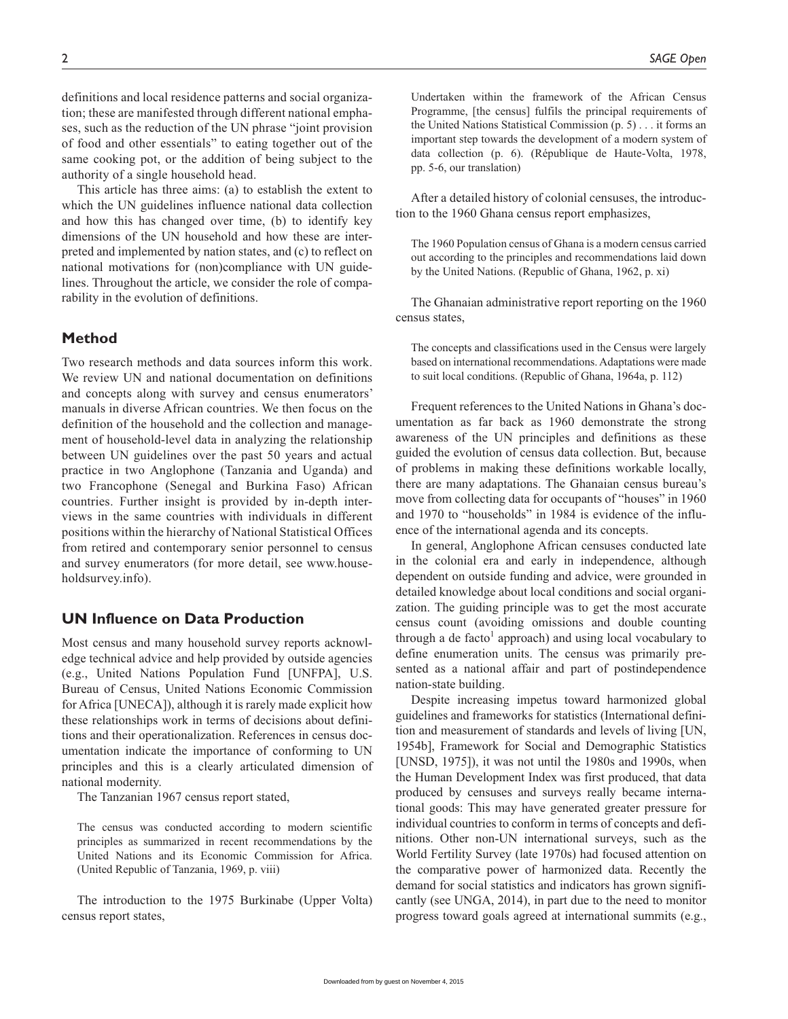definitions and local residence patterns and social organization; these are manifested through different national emphases, such as the reduction of the UN phrase "joint provision of food and other essentials" to eating together out of the same cooking pot, or the addition of being subject to the authority of a single household head.

This article has three aims: (a) to establish the extent to which the UN guidelines influence national data collection and how this has changed over time, (b) to identify key dimensions of the UN household and how these are interpreted and implemented by nation states, and (c) to reflect on national motivations for (non)compliance with UN guidelines. Throughout the article, we consider the role of comparability in the evolution of definitions.

### **Method**

Two research methods and data sources inform this work. We review UN and national documentation on definitions and concepts along with survey and census enumerators' manuals in diverse African countries. We then focus on the definition of the household and the collection and management of household-level data in analyzing the relationship between UN guidelines over the past 50 years and actual practice in two Anglophone (Tanzania and Uganda) and two Francophone (Senegal and Burkina Faso) African countries. Further insight is provided by in-depth interviews in the same countries with individuals in different positions within the hierarchy of National Statistical Offices from retired and contemporary senior personnel to census and survey enumerators (for more detail, see [www.house](www.householdsurvey.info)[holdsurvey.info\)](www.householdsurvey.info).

### **UN Influence on Data Production**

Most census and many household survey reports acknowledge technical advice and help provided by outside agencies (e.g., United Nations Population Fund [UNFPA], U.S. Bureau of Census, United Nations Economic Commission for Africa [UNECA]), although it is rarely made explicit how these relationships work in terms of decisions about definitions and their operationalization. References in census documentation indicate the importance of conforming to UN principles and this is a clearly articulated dimension of national modernity.

The Tanzanian 1967 census report stated,

The census was conducted according to modern scientific principles as summarized in recent recommendations by the United Nations and its Economic Commission for Africa. (United Republic of Tanzania, 1969, p. viii)

The introduction to the 1975 Burkinabe (Upper Volta) census report states,

Undertaken within the framework of the African Census Programme, [the census] fulfils the principal requirements of the United Nations Statistical Commission (p. 5) . . . it forms an important step towards the development of a modern system of data collection (p. 6). (République de Haute-Volta, 1978, pp. 5-6, our translation)

After a detailed history of colonial censuses, the introduction to the 1960 Ghana census report emphasizes,

The 1960 Population census of Ghana is a modern census carried out according to the principles and recommendations laid down by the United Nations. (Republic of Ghana, 1962, p. xi)

The Ghanaian administrative report reporting on the 1960 census states,

The concepts and classifications used in the Census were largely based on international recommendations. Adaptations were made to suit local conditions. (Republic of Ghana, 1964a, p. 112)

Frequent references to the United Nations in Ghana's documentation as far back as 1960 demonstrate the strong awareness of the UN principles and definitions as these guided the evolution of census data collection. But, because of problems in making these definitions workable locally, there are many adaptations. The Ghanaian census bureau's move from collecting data for occupants of "houses" in 1960 and 1970 to "households" in 1984 is evidence of the influence of the international agenda and its concepts.

In general, Anglophone African censuses conducted late in the colonial era and early in independence, although dependent on outside funding and advice, were grounded in detailed knowledge about local conditions and social organization. The guiding principle was to get the most accurate census count (avoiding omissions and double counting through a de facto<sup>1</sup> approach) and using local vocabulary to define enumeration units. The census was primarily presented as a national affair and part of postindependence nation-state building.

Despite increasing impetus toward harmonized global guidelines and frameworks for statistics (International definition and measurement of standards and levels of living [UN, 1954b], Framework for Social and Demographic Statistics [UNSD, 1975]), it was not until the 1980s and 1990s, when the Human Development Index was first produced, that data produced by censuses and surveys really became international goods: This may have generated greater pressure for individual countries to conform in terms of concepts and definitions. Other non-UN international surveys, such as the World Fertility Survey (late 1970s) had focused attention on the comparative power of harmonized data. Recently the demand for social statistics and indicators has grown significantly (see UNGA, 2014), in part due to the need to monitor progress toward goals agreed at international summits (e.g.,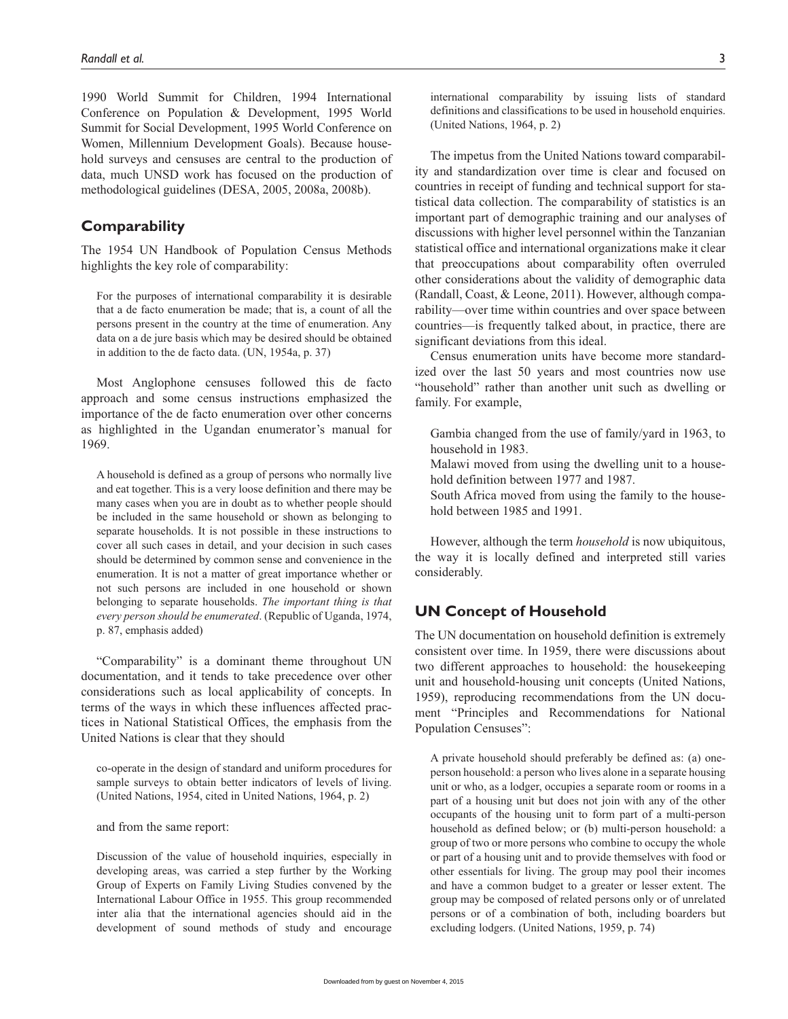1990 World Summit for Children, 1994 International Conference on Population & Development, 1995 World Summit for Social Development, 1995 World Conference on Women, Millennium Development Goals). Because household surveys and censuses are central to the production of data, much UNSD work has focused on the production of methodological guidelines (DESA, 2005, 2008a, 2008b).

# **Comparability**

The 1954 UN Handbook of Population Census Methods highlights the key role of comparability:

For the purposes of international comparability it is desirable that a de facto enumeration be made; that is, a count of all the persons present in the country at the time of enumeration. Any data on a de jure basis which may be desired should be obtained in addition to the de facto data. (UN, 1954a, p. 37)

Most Anglophone censuses followed this de facto approach and some census instructions emphasized the importance of the de facto enumeration over other concerns as highlighted in the Ugandan enumerator's manual for 1969.

A household is defined as a group of persons who normally live and eat together. This is a very loose definition and there may be many cases when you are in doubt as to whether people should be included in the same household or shown as belonging to separate households. It is not possible in these instructions to cover all such cases in detail, and your decision in such cases should be determined by common sense and convenience in the enumeration. It is not a matter of great importance whether or not such persons are included in one household or shown belonging to separate households. *The important thing is that every person should be enumerated*. (Republic of Uganda, 1974, p. 87, emphasis added)

"Comparability" is a dominant theme throughout UN documentation, and it tends to take precedence over other considerations such as local applicability of concepts. In terms of the ways in which these influences affected practices in National Statistical Offices, the emphasis from the United Nations is clear that they should

co-operate in the design of standard and uniform procedures for sample surveys to obtain better indicators of levels of living. (United Nations, 1954, cited in United Nations, 1964, p. 2)

and from the same report:

Discussion of the value of household inquiries, especially in developing areas, was carried a step further by the Working Group of Experts on Family Living Studies convened by the International Labour Office in 1955. This group recommended inter alia that the international agencies should aid in the development of sound methods of study and encourage international comparability by issuing lists of standard definitions and classifications to be used in household enquiries. (United Nations, 1964, p. 2)

The impetus from the United Nations toward comparability and standardization over time is clear and focused on countries in receipt of funding and technical support for statistical data collection. The comparability of statistics is an important part of demographic training and our analyses of discussions with higher level personnel within the Tanzanian statistical office and international organizations make it clear that preoccupations about comparability often overruled other considerations about the validity of demographic data (Randall, Coast, & Leone, 2011). However, although comparability—over time within countries and over space between countries—is frequently talked about, in practice, there are significant deviations from this ideal.

Census enumeration units have become more standardized over the last 50 years and most countries now use "household" rather than another unit such as dwelling or family. For example,

Gambia changed from the use of family/yard in 1963, to household in 1983.

Malawi moved from using the dwelling unit to a household definition between 1977 and 1987.

South Africa moved from using the family to the household between 1985 and 1991.

However, although the term *household* is now ubiquitous, the way it is locally defined and interpreted still varies considerably.

## **UN Concept of Household**

The UN documentation on household definition is extremely consistent over time. In 1959, there were discussions about two different approaches to household: the housekeeping unit and household-housing unit concepts (United Nations, 1959), reproducing recommendations from the UN document "Principles and Recommendations for National Population Censuses":

A private household should preferably be defined as: (a) oneperson household: a person who lives alone in a separate housing unit or who, as a lodger, occupies a separate room or rooms in a part of a housing unit but does not join with any of the other occupants of the housing unit to form part of a multi-person household as defined below; or (b) multi-person household: a group of two or more persons who combine to occupy the whole or part of a housing unit and to provide themselves with food or other essentials for living. The group may pool their incomes and have a common budget to a greater or lesser extent. The group may be composed of related persons only or of unrelated persons or of a combination of both, including boarders but excluding lodgers. (United Nations, 1959, p. 74)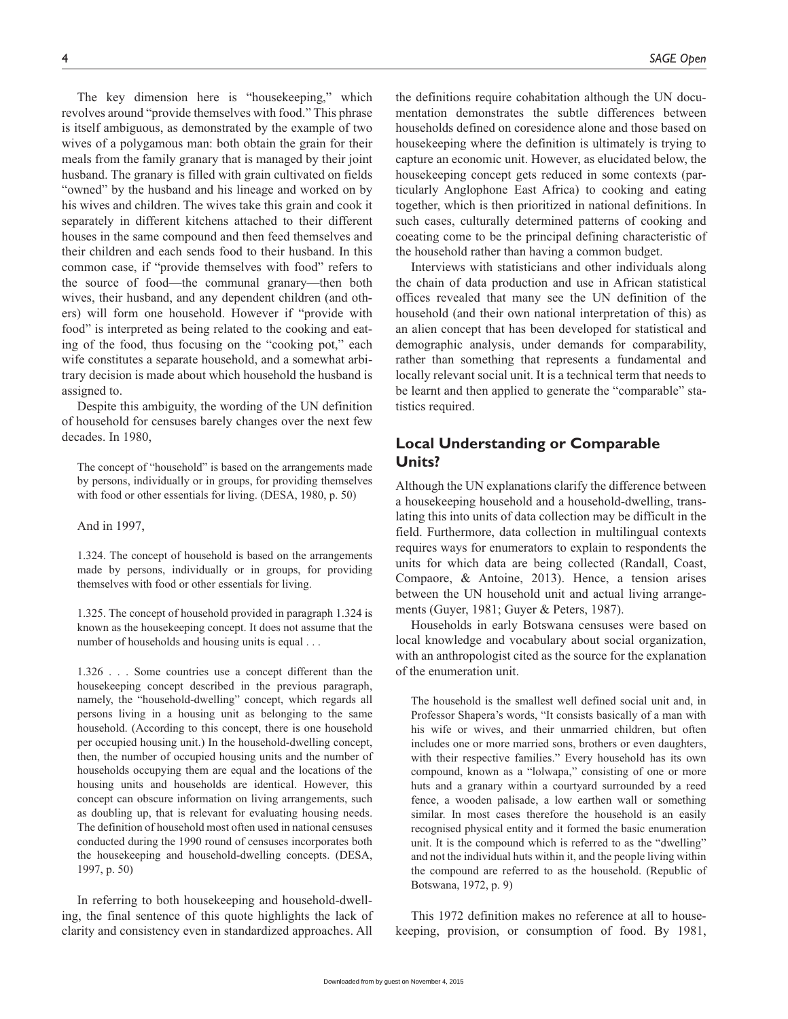The key dimension here is "housekeeping," which revolves around "provide themselves with food." This phrase is itself ambiguous, as demonstrated by the example of two wives of a polygamous man: both obtain the grain for their meals from the family granary that is managed by their joint husband. The granary is filled with grain cultivated on fields "owned" by the husband and his lineage and worked on by his wives and children. The wives take this grain and cook it separately in different kitchens attached to their different houses in the same compound and then feed themselves and their children and each sends food to their husband. In this common case, if "provide themselves with food" refers to the source of food—the communal granary—then both wives, their husband, and any dependent children (and others) will form one household. However if "provide with food" is interpreted as being related to the cooking and eating of the food, thus focusing on the "cooking pot," each wife constitutes a separate household, and a somewhat arbitrary decision is made about which household the husband is assigned to.

Despite this ambiguity, the wording of the UN definition of household for censuses barely changes over the next few decades. In 1980,

The concept of "household" is based on the arrangements made by persons, individually or in groups, for providing themselves with food or other essentials for living. (DESA, 1980, p. 50)

And in 1997,

1.324. The concept of household is based on the arrangements made by persons, individually or in groups, for providing themselves with food or other essentials for living.

1.325. The concept of household provided in paragraph 1.324 is known as the housekeeping concept. It does not assume that the number of households and housing units is equal . . .

1.326 . . . Some countries use a concept different than the housekeeping concept described in the previous paragraph, namely, the "household-dwelling" concept, which regards all persons living in a housing unit as belonging to the same household. (According to this concept, there is one household per occupied housing unit.) In the household-dwelling concept, then, the number of occupied housing units and the number of households occupying them are equal and the locations of the housing units and households are identical. However, this concept can obscure information on living arrangements, such as doubling up, that is relevant for evaluating housing needs. The definition of household most often used in national censuses conducted during the 1990 round of censuses incorporates both the housekeeping and household-dwelling concepts. (DESA, 1997, p. 50)

In referring to both housekeeping and household-dwelling, the final sentence of this quote highlights the lack of clarity and consistency even in standardized approaches. All

the definitions require cohabitation although the UN documentation demonstrates the subtle differences between households defined on coresidence alone and those based on housekeeping where the definition is ultimately is trying to capture an economic unit. However, as elucidated below, the housekeeping concept gets reduced in some contexts (particularly Anglophone East Africa) to cooking and eating together, which is then prioritized in national definitions. In such cases, culturally determined patterns of cooking and coeating come to be the principal defining characteristic of the household rather than having a common budget.

Interviews with statisticians and other individuals along the chain of data production and use in African statistical offices revealed that many see the UN definition of the household (and their own national interpretation of this) as an alien concept that has been developed for statistical and demographic analysis, under demands for comparability, rather than something that represents a fundamental and locally relevant social unit. It is a technical term that needs to be learnt and then applied to generate the "comparable" statistics required.

# **Local Understanding or Comparable Units?**

Although the UN explanations clarify the difference between a housekeeping household and a household-dwelling, translating this into units of data collection may be difficult in the field. Furthermore, data collection in multilingual contexts requires ways for enumerators to explain to respondents the units for which data are being collected (Randall, Coast, Compaore, & Antoine, 2013). Hence, a tension arises between the UN household unit and actual living arrangements (Guyer, 1981; Guyer & Peters, 1987).

Households in early Botswana censuses were based on local knowledge and vocabulary about social organization, with an anthropologist cited as the source for the explanation of the enumeration unit.

The household is the smallest well defined social unit and, in Professor Shapera's words, "It consists basically of a man with his wife or wives, and their unmarried children, but often includes one or more married sons, brothers or even daughters, with their respective families." Every household has its own compound, known as a "lolwapa," consisting of one or more huts and a granary within a courtyard surrounded by a reed fence, a wooden palisade, a low earthen wall or something similar. In most cases therefore the household is an easily recognised physical entity and it formed the basic enumeration unit. It is the compound which is referred to as the "dwelling" and not the individual huts within it, and the people living within the compound are referred to as the household. (Republic of Botswana, 1972, p. 9)

This 1972 definition makes no reference at all to housekeeping, provision, or consumption of food. By 1981,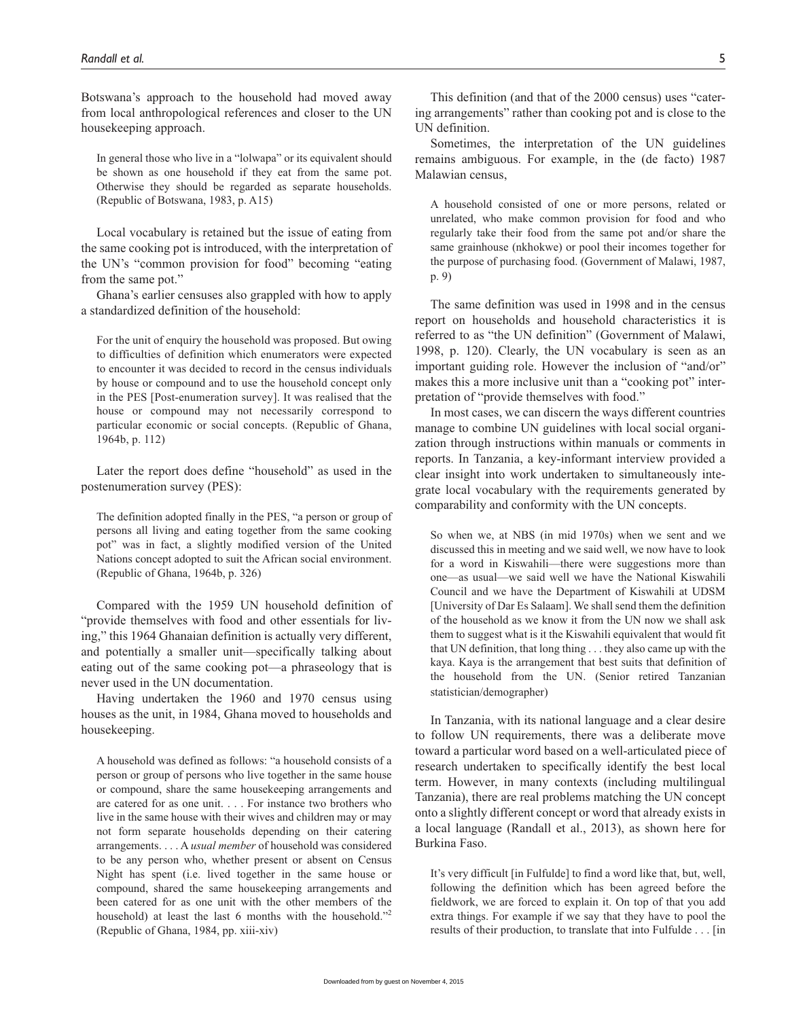Botswana's approach to the household had moved away from local anthropological references and closer to the UN housekeeping approach.

In general those who live in a "lolwapa" or its equivalent should be shown as one household if they eat from the same pot. Otherwise they should be regarded as separate households. (Republic of Botswana, 1983, p. A15)

Local vocabulary is retained but the issue of eating from the same cooking pot is introduced, with the interpretation of the UN's "common provision for food" becoming "eating from the same pot."

Ghana's earlier censuses also grappled with how to apply a standardized definition of the household:

For the unit of enquiry the household was proposed. But owing to difficulties of definition which enumerators were expected to encounter it was decided to record in the census individuals by house or compound and to use the household concept only in the PES [Post-enumeration survey]. It was realised that the house or compound may not necessarily correspond to particular economic or social concepts. (Republic of Ghana, 1964b, p. 112)

Later the report does define "household" as used in the postenumeration survey (PES):

The definition adopted finally in the PES, "a person or group of persons all living and eating together from the same cooking pot" was in fact, a slightly modified version of the United Nations concept adopted to suit the African social environment. (Republic of Ghana, 1964b, p. 326)

Compared with the 1959 UN household definition of "provide themselves with food and other essentials for living," this 1964 Ghanaian definition is actually very different, and potentially a smaller unit—specifically talking about eating out of the same cooking pot—a phraseology that is never used in the UN documentation.

Having undertaken the 1960 and 1970 census using houses as the unit, in 1984, Ghana moved to households and housekeeping.

A household was defined as follows: "a household consists of a person or group of persons who live together in the same house or compound, share the same housekeeping arrangements and are catered for as one unit. . . . For instance two brothers who live in the same house with their wives and children may or may not form separate households depending on their catering arrangements. . . . A *usual member* of household was considered to be any person who, whether present or absent on Census Night has spent (i.e. lived together in the same house or compound, shared the same housekeeping arrangements and been catered for as one unit with the other members of the household) at least the last 6 months with the household."<sup>2</sup> (Republic of Ghana, 1984, pp. xiii-xiv)

This definition (and that of the 2000 census) uses "catering arrangements" rather than cooking pot and is close to the UN definition.

Sometimes, the interpretation of the UN guidelines remains ambiguous. For example, in the (de facto) 1987 Malawian census,

A household consisted of one or more persons, related or unrelated, who make common provision for food and who regularly take their food from the same pot and/or share the same grainhouse (nkhokwe) or pool their incomes together for the purpose of purchasing food. (Government of Malawi, 1987, p. 9)

The same definition was used in 1998 and in the census report on households and household characteristics it is referred to as "the UN definition" (Government of Malawi, 1998, p. 120). Clearly, the UN vocabulary is seen as an important guiding role. However the inclusion of "and/or" makes this a more inclusive unit than a "cooking pot" interpretation of "provide themselves with food."

In most cases, we can discern the ways different countries manage to combine UN guidelines with local social organization through instructions within manuals or comments in reports. In Tanzania, a key-informant interview provided a clear insight into work undertaken to simultaneously integrate local vocabulary with the requirements generated by comparability and conformity with the UN concepts.

So when we, at NBS (in mid 1970s) when we sent and we discussed this in meeting and we said well, we now have to look for a word in Kiswahili—there were suggestions more than one—as usual—we said well we have the National Kiswahili Council and we have the Department of Kiswahili at UDSM [University of Dar Es Salaam]. We shall send them the definition of the household as we know it from the UN now we shall ask them to suggest what is it the Kiswahili equivalent that would fit that UN definition, that long thing . . . they also came up with the kaya. Kaya is the arrangement that best suits that definition of the household from the UN. (Senior retired Tanzanian statistician/demographer)

In Tanzania, with its national language and a clear desire to follow UN requirements, there was a deliberate move toward a particular word based on a well-articulated piece of research undertaken to specifically identify the best local term. However, in many contexts (including multilingual Tanzania), there are real problems matching the UN concept onto a slightly different concept or word that already exists in a local language (Randall et al., 2013), as shown here for Burkina Faso.

It's very difficult [in Fulfulde] to find a word like that, but, well, following the definition which has been agreed before the fieldwork, we are forced to explain it. On top of that you add extra things. For example if we say that they have to pool the results of their production, to translate that into Fulfulde . . . [in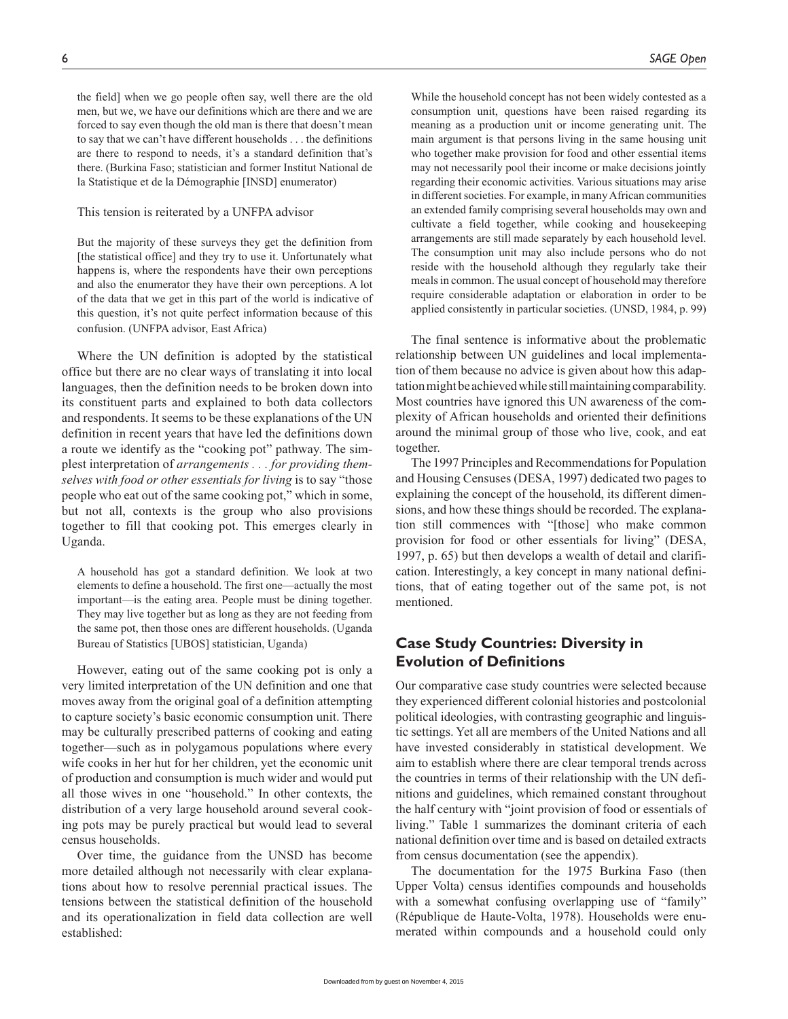the field] when we go people often say, well there are the old men, but we, we have our definitions which are there and we are forced to say even though the old man is there that doesn't mean to say that we can't have different households . . . the definitions are there to respond to needs, it's a standard definition that's there. (Burkina Faso; statistician and former Institut National de la Statistique et de la Démographie [INSD] enumerator)

#### This tension is reiterated by a UNFPA advisor

But the majority of these surveys they get the definition from [the statistical office] and they try to use it. Unfortunately what happens is, where the respondents have their own perceptions and also the enumerator they have their own perceptions. A lot of the data that we get in this part of the world is indicative of this question, it's not quite perfect information because of this confusion. (UNFPA advisor, East Africa)

Where the UN definition is adopted by the statistical office but there are no clear ways of translating it into local languages, then the definition needs to be broken down into its constituent parts and explained to both data collectors and respondents. It seems to be these explanations of the UN definition in recent years that have led the definitions down a route we identify as the "cooking pot" pathway. The simplest interpretation of *arrangements . . . for providing themselves with food or other essentials for living* is to say "those people who eat out of the same cooking pot," which in some, but not all, contexts is the group who also provisions together to fill that cooking pot. This emerges clearly in Uganda.

A household has got a standard definition. We look at two elements to define a household. The first one—actually the most important—is the eating area. People must be dining together. They may live together but as long as they are not feeding from the same pot, then those ones are different households. (Uganda Bureau of Statistics [UBOS] statistician, Uganda)

However, eating out of the same cooking pot is only a very limited interpretation of the UN definition and one that moves away from the original goal of a definition attempting to capture society's basic economic consumption unit. There may be culturally prescribed patterns of cooking and eating together—such as in polygamous populations where every wife cooks in her hut for her children, yet the economic unit of production and consumption is much wider and would put all those wives in one "household." In other contexts, the distribution of a very large household around several cooking pots may be purely practical but would lead to several census households.

Over time, the guidance from the UNSD has become more detailed although not necessarily with clear explanations about how to resolve perennial practical issues. The tensions between the statistical definition of the household and its operationalization in field data collection are well established:

While the household concept has not been widely contested as a consumption unit, questions have been raised regarding its meaning as a production unit or income generating unit. The main argument is that persons living in the same housing unit who together make provision for food and other essential items may not necessarily pool their income or make decisions jointly regarding their economic activities. Various situations may arise in different societies. For example, in many African communities an extended family comprising several households may own and cultivate a field together, while cooking and housekeeping arrangements are still made separately by each household level. The consumption unit may also include persons who do not reside with the household although they regularly take their meals in common. The usual concept of household may therefore require considerable adaptation or elaboration in order to be applied consistently in particular societies. (UNSD, 1984, p. 99)

The final sentence is informative about the problematic relationship between UN guidelines and local implementation of them because no advice is given about how this adaptation might be achieved while still maintaining comparability. Most countries have ignored this UN awareness of the complexity of African households and oriented their definitions around the minimal group of those who live, cook, and eat together.

The 1997 Principles and Recommendations for Population and Housing Censuses (DESA, 1997) dedicated two pages to explaining the concept of the household, its different dimensions, and how these things should be recorded. The explanation still commences with "[those] who make common provision for food or other essentials for living" (DESA, 1997, p. 65) but then develops a wealth of detail and clarification. Interestingly, a key concept in many national definitions, that of eating together out of the same pot, is not mentioned.

# **Case Study Countries: Diversity in Evolution of Definitions**

Our comparative case study countries were selected because they experienced different colonial histories and postcolonial political ideologies, with contrasting geographic and linguistic settings. Yet all are members of the United Nations and all have invested considerably in statistical development. We aim to establish where there are clear temporal trends across the countries in terms of their relationship with the UN definitions and guidelines, which remained constant throughout the half century with "joint provision of food or essentials of living." Table 1 summarizes the dominant criteria of each national definition over time and is based on detailed extracts from census documentation (see the appendix).

The documentation for the 1975 Burkina Faso (then Upper Volta) census identifies compounds and households with a somewhat confusing overlapping use of "family" (République de Haute-Volta, 1978). Households were enumerated within compounds and a household could only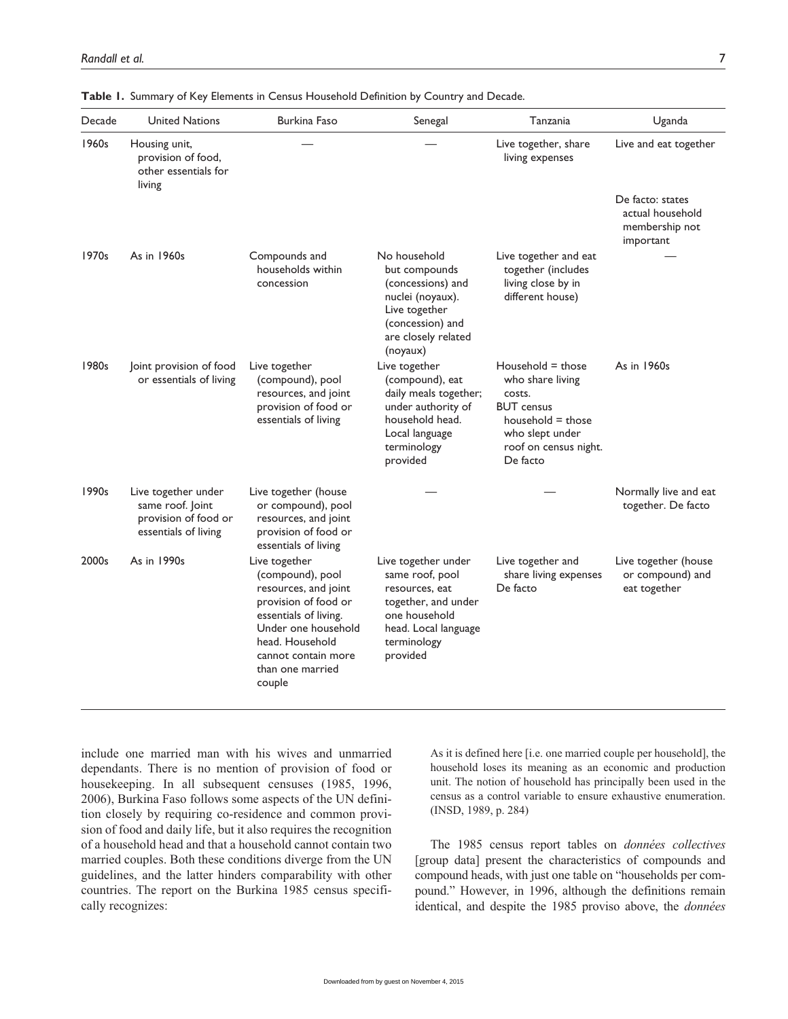| Decade | <b>United Nations</b>                                                                   | <b>Burkina Faso</b>                                                                                                                                                                                       | Senegal                                                                                                                                             | Tanzania                                                                                                                                              | Uganda                                                              |
|--------|-----------------------------------------------------------------------------------------|-----------------------------------------------------------------------------------------------------------------------------------------------------------------------------------------------------------|-----------------------------------------------------------------------------------------------------------------------------------------------------|-------------------------------------------------------------------------------------------------------------------------------------------------------|---------------------------------------------------------------------|
| 1960s  | Housing unit,<br>provision of food,<br>other essentials for<br>living                   |                                                                                                                                                                                                           |                                                                                                                                                     | Live together, share<br>living expenses                                                                                                               | Live and eat together                                               |
|        |                                                                                         |                                                                                                                                                                                                           |                                                                                                                                                     |                                                                                                                                                       | De facto: states<br>actual household<br>membership not<br>important |
| 1970s  | As in 1960s                                                                             | Compounds and<br>households within<br>concession                                                                                                                                                          | No household<br>but compounds<br>(concessions) and<br>nuclei (noyaux).<br>Live together<br>(concession) and<br>are closely related<br>(noyaux)      | Live together and eat<br>together (includes<br>living close by in<br>different house)                                                                 |                                                                     |
| 1980s  | Joint provision of food<br>or essentials of living                                      | Live together<br>(compound), pool<br>resources, and joint<br>provision of food or<br>essentials of living                                                                                                 | Live together<br>(compound), eat<br>daily meals together;<br>under authority of<br>household head.<br>Local language<br>terminology<br>provided     | Household $=$ those<br>who share living<br>costs.<br><b>BUT</b> census<br>household $=$ those<br>who slept under<br>roof on census night.<br>De facto | As in 1960s                                                         |
| 1990s  | Live together under<br>same roof. Joint<br>provision of food or<br>essentials of living | Live together (house<br>or compound), pool<br>resources, and joint<br>provision of food or<br>essentials of living                                                                                        |                                                                                                                                                     |                                                                                                                                                       | Normally live and eat<br>together. De facto                         |
| 2000s  | As in 1990s                                                                             | Live together<br>(compound), pool<br>resources, and joint<br>provision of food or<br>essentials of living.<br>Under one household<br>head. Household<br>cannot contain more<br>than one married<br>couple | Live together under<br>same roof, pool<br>resources, eat<br>together, and under<br>one household<br>head. Local language<br>terminology<br>provided | Live together and<br>share living expenses<br>De facto                                                                                                | Live together (house<br>or compound) and<br>eat together            |

|  |  |  |  |  |  |  | Table 1. Summary of Key Elements in Census Household Definition by Country and Decade. |  |  |  |  |  |  |
|--|--|--|--|--|--|--|----------------------------------------------------------------------------------------|--|--|--|--|--|--|
|--|--|--|--|--|--|--|----------------------------------------------------------------------------------------|--|--|--|--|--|--|

include one married man with his wives and unmarried dependants. There is no mention of provision of food or housekeeping. In all subsequent censuses (1985, 1996, 2006), Burkina Faso follows some aspects of the UN definition closely by requiring co-residence and common provision of food and daily life, but it also requires the recognition of a household head and that a household cannot contain two married couples. Both these conditions diverge from the UN guidelines, and the latter hinders comparability with other countries. The report on the Burkina 1985 census specifically recognizes:

As it is defined here [i.e. one married couple per household], the household loses its meaning as an economic and production unit. The notion of household has principally been used in the census as a control variable to ensure exhaustive enumeration. (INSD, 1989, p. 284)

The 1985 census report tables on *données collectives* [group data] present the characteristics of compounds and compound heads, with just one table on "households per compound." However, in 1996, although the definitions remain identical, and despite the 1985 proviso above, the *données*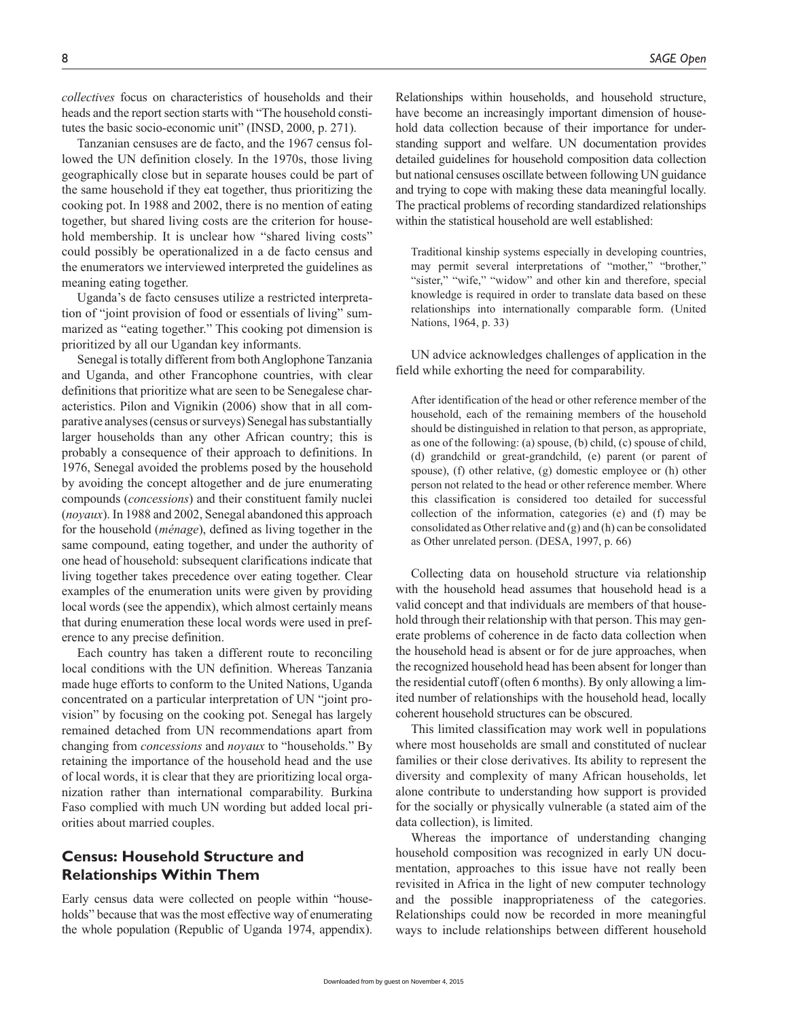*collectives* focus on characteristics of households and their heads and the report section starts with "The household constitutes the basic socio-economic unit" (INSD, 2000, p. 271).

Tanzanian censuses are de facto, and the 1967 census followed the UN definition closely. In the 1970s, those living geographically close but in separate houses could be part of the same household if they eat together, thus prioritizing the cooking pot. In 1988 and 2002, there is no mention of eating together, but shared living costs are the criterion for household membership. It is unclear how "shared living costs" could possibly be operationalized in a de facto census and the enumerators we interviewed interpreted the guidelines as meaning eating together.

Uganda's de facto censuses utilize a restricted interpretation of "joint provision of food or essentials of living" summarized as "eating together." This cooking pot dimension is prioritized by all our Ugandan key informants.

Senegal is totally different from both Anglophone Tanzania and Uganda, and other Francophone countries, with clear definitions that prioritize what are seen to be Senegalese characteristics. Pilon and Vignikin (2006) show that in all comparative analyses (census or surveys) Senegal has substantially larger households than any other African country; this is probably a consequence of their approach to definitions. In 1976, Senegal avoided the problems posed by the household by avoiding the concept altogether and de jure enumerating compounds (*concessions*) and their constituent family nuclei (*noyaux*). In 1988 and 2002, Senegal abandoned this approach for the household (*ménage*), defined as living together in the same compound, eating together, and under the authority of one head of household: subsequent clarifications indicate that living together takes precedence over eating together. Clear examples of the enumeration units were given by providing local words (see the appendix), which almost certainly means that during enumeration these local words were used in preference to any precise definition.

Each country has taken a different route to reconciling local conditions with the UN definition. Whereas Tanzania made huge efforts to conform to the United Nations, Uganda concentrated on a particular interpretation of UN "joint provision" by focusing on the cooking pot. Senegal has largely remained detached from UN recommendations apart from changing from *concessions* and *noyaux* to "households." By retaining the importance of the household head and the use of local words, it is clear that they are prioritizing local organization rather than international comparability. Burkina Faso complied with much UN wording but added local priorities about married couples.

# **Census: Household Structure and Relationships Within Them**

Early census data were collected on people within "households" because that was the most effective way of enumerating the whole population (Republic of Uganda 1974, appendix).

Relationships within households, and household structure, have become an increasingly important dimension of household data collection because of their importance for understanding support and welfare. UN documentation provides detailed guidelines for household composition data collection but national censuses oscillate between following UN guidance and trying to cope with making these data meaningful locally. The practical problems of recording standardized relationships within the statistical household are well established:

Traditional kinship systems especially in developing countries, may permit several interpretations of "mother," "brother," "sister," "wife," "widow" and other kin and therefore, special knowledge is required in order to translate data based on these relationships into internationally comparable form. (United Nations, 1964, p. 33)

UN advice acknowledges challenges of application in the field while exhorting the need for comparability.

After identification of the head or other reference member of the household, each of the remaining members of the household should be distinguished in relation to that person, as appropriate, as one of the following: (a) spouse, (b) child, (c) spouse of child, (d) grandchild or great-grandchild, (e) parent (or parent of spouse), (f) other relative, (g) domestic employee or (h) other person not related to the head or other reference member. Where this classification is considered too detailed for successful collection of the information, categories (e) and (f) may be consolidated as Other relative and (g) and (h) can be consolidated as Other unrelated person. (DESA, 1997, p. 66)

Collecting data on household structure via relationship with the household head assumes that household head is a valid concept and that individuals are members of that household through their relationship with that person. This may generate problems of coherence in de facto data collection when the household head is absent or for de jure approaches, when the recognized household head has been absent for longer than the residential cutoff (often 6 months). By only allowing a limited number of relationships with the household head, locally coherent household structures can be obscured.

This limited classification may work well in populations where most households are small and constituted of nuclear families or their close derivatives. Its ability to represent the diversity and complexity of many African households, let alone contribute to understanding how support is provided for the socially or physically vulnerable (a stated aim of the data collection), is limited.

Whereas the importance of understanding changing household composition was recognized in early UN documentation, approaches to this issue have not really been revisited in Africa in the light of new computer technology and the possible inappropriateness of the categories. Relationships could now be recorded in more meaningful ways to include relationships between different household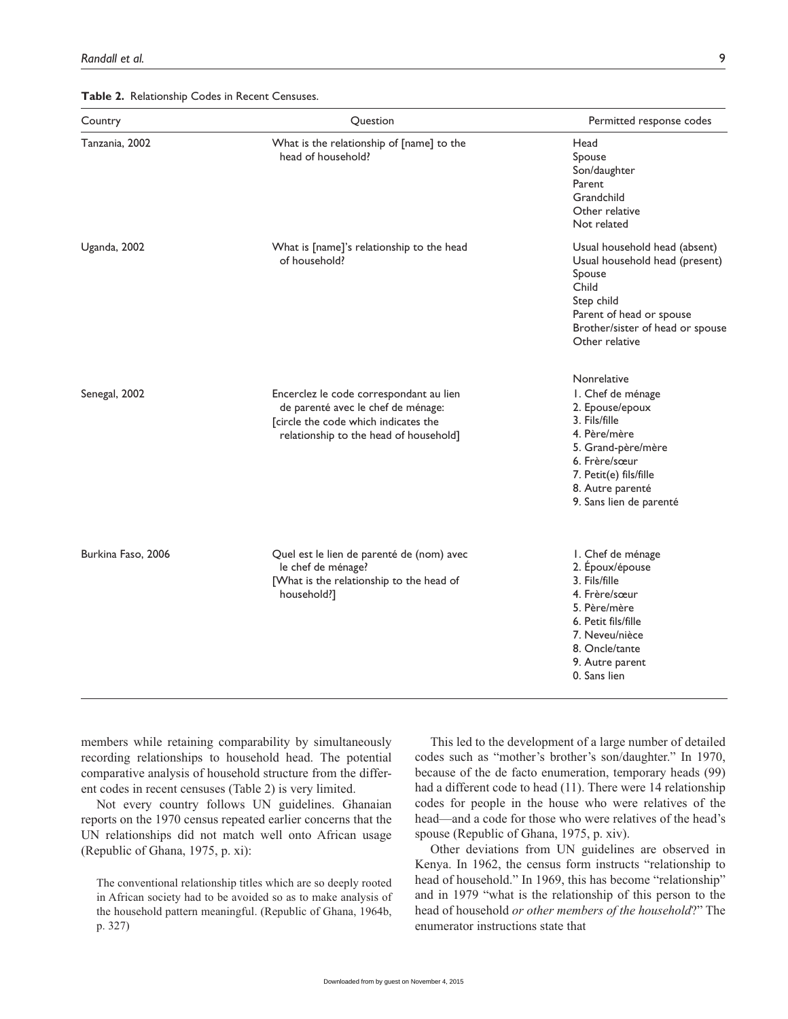| Country            | Question                                                                                                                                                        | Permitted response codes                                                                                                                                                                             |
|--------------------|-----------------------------------------------------------------------------------------------------------------------------------------------------------------|------------------------------------------------------------------------------------------------------------------------------------------------------------------------------------------------------|
| Tanzania, 2002     | What is the relationship of [name] to the<br>head of household?                                                                                                 | Head<br>Spouse<br>Son/daughter<br>Parent<br>Grandchild<br>Other relative<br>Not related                                                                                                              |
| Uganda, 2002       | What is [name]'s relationship to the head<br>of household?                                                                                                      | Usual household head (absent)<br>Usual household head (present)<br>Spouse<br>Child<br>Step child<br>Parent of head or spouse<br>Brother/sister of head or spouse<br>Other relative                   |
| Senegal, 2002      | Encerclez le code correspondant au lien<br>de parenté avec le chef de ménage:<br>[circle the code which indicates the<br>relationship to the head of household] | Nonrelative<br>I. Chef de ménage<br>2. Epouse/epoux<br>3. Fils/fille<br>4. Père/mère<br>5. Grand-père/mère<br>6. Frère/sœur<br>7. Petit(e) fils/fille<br>8. Autre parenté<br>9. Sans lien de parenté |
| Burkina Faso, 2006 | Quel est le lien de parenté de (nom) avec<br>le chef de ménage?<br>[What is the relationship to the head of<br>household?]                                      | I. Chef de ménage<br>2. Époux/épouse<br>3. Fils/fille<br>4. Frère/sœur<br>5. Père/mère<br>6. Petit fils/fille<br>7. Neveu/nièce<br>8. Oncle/tante<br>9. Autre parent<br>0. Sans lien                 |

members while retaining comparability by simultaneously recording relationships to household head. The potential comparative analysis of household structure from the different codes in recent censuses (Table 2) is very limited.

Not every country follows UN guidelines. Ghanaian reports on the 1970 census repeated earlier concerns that the UN relationships did not match well onto African usage (Republic of Ghana, 1975, p. xi):

The conventional relationship titles which are so deeply rooted in African society had to be avoided so as to make analysis of the household pattern meaningful. (Republic of Ghana, 1964b, p. 327)

This led to the development of a large number of detailed codes such as "mother's brother's son/daughter." In 1970, because of the de facto enumeration, temporary heads (99) had a different code to head (11). There were 14 relationship codes for people in the house who were relatives of the head—and a code for those who were relatives of the head's spouse (Republic of Ghana, 1975, p. xiv).

Other deviations from UN guidelines are observed in Kenya. In 1962, the census form instructs "relationship to head of household." In 1969, this has become "relationship" and in 1979 "what is the relationship of this person to the head of household *or other members of the household*?" The enumerator instructions state that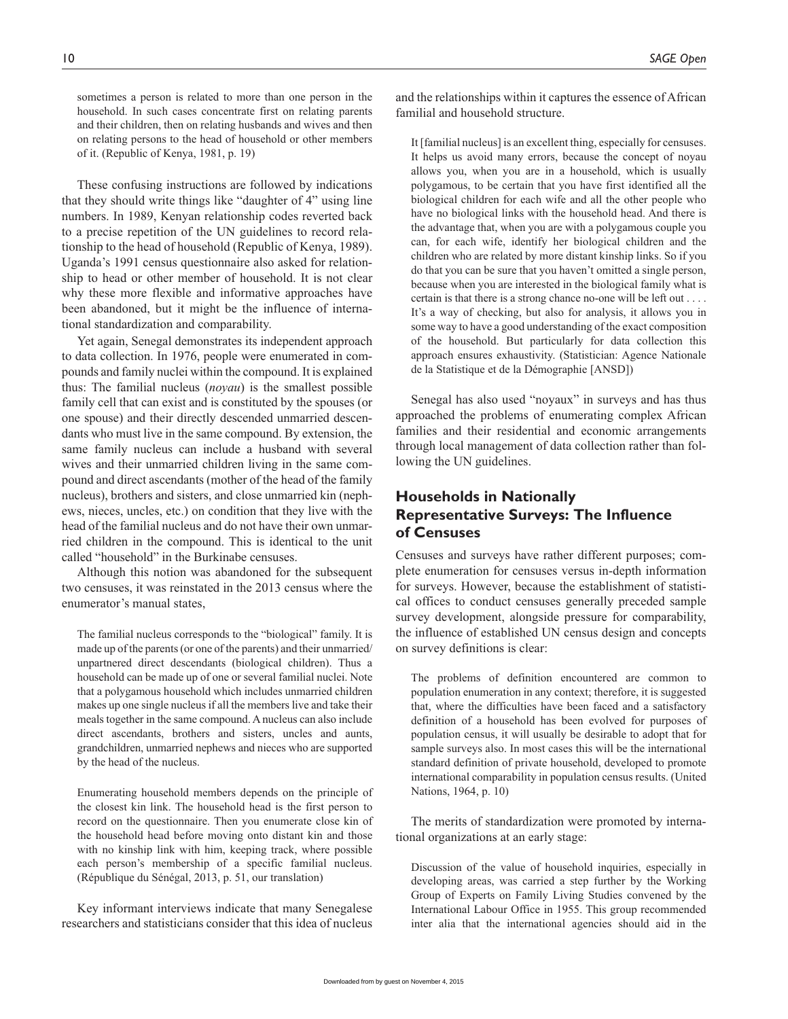sometimes a person is related to more than one person in the household. In such cases concentrate first on relating parents and their children, then on relating husbands and wives and then on relating persons to the head of household or other members of it. (Republic of Kenya, 1981, p. 19)

These confusing instructions are followed by indications that they should write things like "daughter of 4" using line numbers. In 1989, Kenyan relationship codes reverted back to a precise repetition of the UN guidelines to record relationship to the head of household (Republic of Kenya, 1989). Uganda's 1991 census questionnaire also asked for relationship to head or other member of household. It is not clear why these more flexible and informative approaches have been abandoned, but it might be the influence of international standardization and comparability.

Yet again, Senegal demonstrates its independent approach to data collection. In 1976, people were enumerated in compounds and family nuclei within the compound. It is explained thus: The familial nucleus (*noyau*) is the smallest possible family cell that can exist and is constituted by the spouses (or one spouse) and their directly descended unmarried descendants who must live in the same compound. By extension, the same family nucleus can include a husband with several wives and their unmarried children living in the same compound and direct ascendants (mother of the head of the family nucleus), brothers and sisters, and close unmarried kin (nephews, nieces, uncles, etc.) on condition that they live with the head of the familial nucleus and do not have their own unmarried children in the compound. This is identical to the unit called "household" in the Burkinabe censuses.

Although this notion was abandoned for the subsequent two censuses, it was reinstated in the 2013 census where the enumerator's manual states,

The familial nucleus corresponds to the "biological" family. It is made up of the parents (or one of the parents) and their unmarried/ unpartnered direct descendants (biological children). Thus a household can be made up of one or several familial nuclei. Note that a polygamous household which includes unmarried children makes up one single nucleus if all the members live and take their meals together in the same compound. A nucleus can also include direct ascendants, brothers and sisters, uncles and aunts, grandchildren, unmarried nephews and nieces who are supported by the head of the nucleus.

Enumerating household members depends on the principle of the closest kin link. The household head is the first person to record on the questionnaire. Then you enumerate close kin of the household head before moving onto distant kin and those with no kinship link with him, keeping track, where possible each person's membership of a specific familial nucleus. (République du Sénégal, 2013, p. 51, our translation)

Key informant interviews indicate that many Senegalese researchers and statisticians consider that this idea of nucleus and the relationships within it captures the essence of African familial and household structure.

It [familial nucleus] is an excellent thing, especially for censuses. It helps us avoid many errors, because the concept of noyau allows you, when you are in a household, which is usually polygamous, to be certain that you have first identified all the biological children for each wife and all the other people who have no biological links with the household head. And there is the advantage that, when you are with a polygamous couple you can, for each wife, identify her biological children and the children who are related by more distant kinship links. So if you do that you can be sure that you haven't omitted a single person, because when you are interested in the biological family what is certain is that there is a strong chance no-one will be left out . . . . It's a way of checking, but also for analysis, it allows you in some way to have a good understanding of the exact composition of the household. But particularly for data collection this approach ensures exhaustivity. (Statistician: Agence Nationale de la Statistique et de la Démographie [ANSD])

Senegal has also used "noyaux" in surveys and has thus approached the problems of enumerating complex African families and their residential and economic arrangements through local management of data collection rather than following the UN guidelines.

# **Households in Nationally Representative Surveys: The Influence of Censuses**

Censuses and surveys have rather different purposes; complete enumeration for censuses versus in-depth information for surveys. However, because the establishment of statistical offices to conduct censuses generally preceded sample survey development, alongside pressure for comparability, the influence of established UN census design and concepts on survey definitions is clear:

The problems of definition encountered are common to population enumeration in any context; therefore, it is suggested that, where the difficulties have been faced and a satisfactory definition of a household has been evolved for purposes of population census, it will usually be desirable to adopt that for sample surveys also. In most cases this will be the international standard definition of private household, developed to promote international comparability in population census results. (United Nations, 1964, p. 10)

The merits of standardization were promoted by international organizations at an early stage:

Discussion of the value of household inquiries, especially in developing areas, was carried a step further by the Working Group of Experts on Family Living Studies convened by the International Labour Office in 1955. This group recommended inter alia that the international agencies should aid in the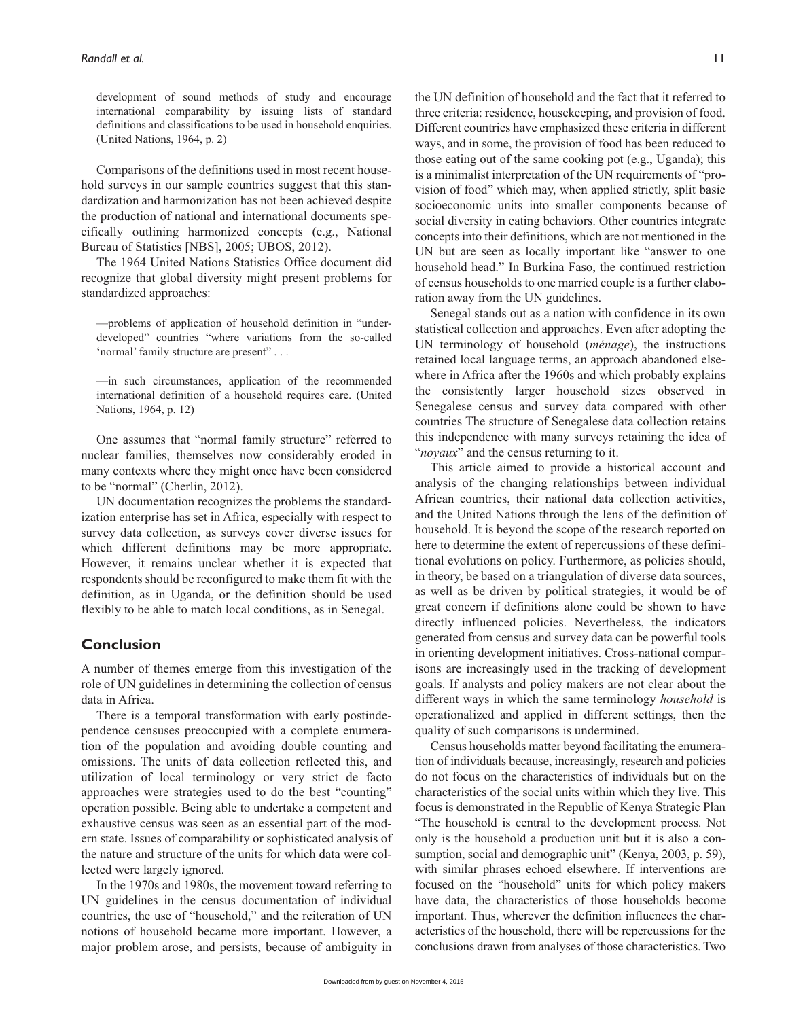development of sound methods of study and encourage international comparability by issuing lists of standard definitions and classifications to be used in household enquiries. (United Nations, 1964, p. 2)

Comparisons of the definitions used in most recent household surveys in our sample countries suggest that this standardization and harmonization has not been achieved despite the production of national and international documents specifically outlining harmonized concepts (e.g., National Bureau of Statistics [NBS], 2005; UBOS, 2012).

The 1964 United Nations Statistics Office document did recognize that global diversity might present problems for standardized approaches:

—problems of application of household definition in "underdeveloped" countries "where variations from the so-called 'normal' family structure are present" . . .

—in such circumstances, application of the recommended international definition of a household requires care. (United Nations, 1964, p. 12)

One assumes that "normal family structure" referred to nuclear families, themselves now considerably eroded in many contexts where they might once have been considered to be "normal" (Cherlin, 2012).

UN documentation recognizes the problems the standardization enterprise has set in Africa, especially with respect to survey data collection, as surveys cover diverse issues for which different definitions may be more appropriate. However, it remains unclear whether it is expected that respondents should be reconfigured to make them fit with the definition, as in Uganda, or the definition should be used flexibly to be able to match local conditions, as in Senegal.

# **Conclusion**

A number of themes emerge from this investigation of the role of UN guidelines in determining the collection of census data in Africa.

There is a temporal transformation with early postindependence censuses preoccupied with a complete enumeration of the population and avoiding double counting and omissions. The units of data collection reflected this, and utilization of local terminology or very strict de facto approaches were strategies used to do the best "counting" operation possible. Being able to undertake a competent and exhaustive census was seen as an essential part of the modern state. Issues of comparability or sophisticated analysis of the nature and structure of the units for which data were collected were largely ignored.

In the 1970s and 1980s, the movement toward referring to UN guidelines in the census documentation of individual countries, the use of "household," and the reiteration of UN notions of household became more important. However, a major problem arose, and persists, because of ambiguity in

the UN definition of household and the fact that it referred to three criteria: residence, housekeeping, and provision of food. Different countries have emphasized these criteria in different ways, and in some, the provision of food has been reduced to those eating out of the same cooking pot (e.g., Uganda); this is a minimalist interpretation of the UN requirements of "provision of food" which may, when applied strictly, split basic socioeconomic units into smaller components because of social diversity in eating behaviors. Other countries integrate concepts into their definitions, which are not mentioned in the UN but are seen as locally important like "answer to one household head." In Burkina Faso, the continued restriction of census households to one married couple is a further elaboration away from the UN guidelines.

Senegal stands out as a nation with confidence in its own statistical collection and approaches. Even after adopting the UN terminology of household (*ménage*), the instructions retained local language terms, an approach abandoned elsewhere in Africa after the 1960s and which probably explains the consistently larger household sizes observed in Senegalese census and survey data compared with other countries The structure of Senegalese data collection retains this independence with many surveys retaining the idea of "*noyaux*" and the census returning to it.

This article aimed to provide a historical account and analysis of the changing relationships between individual African countries, their national data collection activities, and the United Nations through the lens of the definition of household. It is beyond the scope of the research reported on here to determine the extent of repercussions of these definitional evolutions on policy. Furthermore, as policies should, in theory, be based on a triangulation of diverse data sources, as well as be driven by political strategies, it would be of great concern if definitions alone could be shown to have directly influenced policies. Nevertheless, the indicators generated from census and survey data can be powerful tools in orienting development initiatives. Cross-national comparisons are increasingly used in the tracking of development goals. If analysts and policy makers are not clear about the different ways in which the same terminology *household* is operationalized and applied in different settings, then the quality of such comparisons is undermined.

Census households matter beyond facilitating the enumeration of individuals because, increasingly, research and policies do not focus on the characteristics of individuals but on the characteristics of the social units within which they live. This focus is demonstrated in the Republic of Kenya Strategic Plan "The household is central to the development process. Not only is the household a production unit but it is also a consumption, social and demographic unit" (Kenya, 2003, p. 59), with similar phrases echoed elsewhere. If interventions are focused on the "household" units for which policy makers have data, the characteristics of those households become important. Thus, wherever the definition influences the characteristics of the household, there will be repercussions for the conclusions drawn from analyses of those characteristics. Two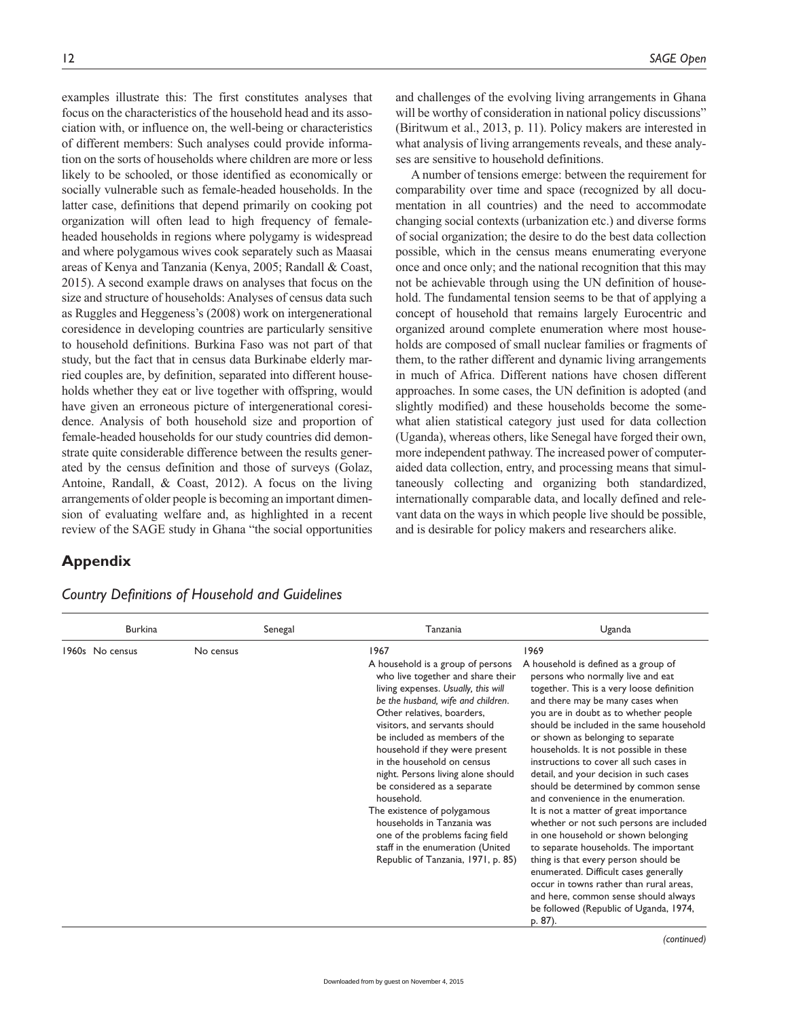examples illustrate this: The first constitutes analyses that focus on the characteristics of the household head and its association with, or influence on, the well-being or characteristics of different members: Such analyses could provide information on the sorts of households where children are more or less likely to be schooled, or those identified as economically or socially vulnerable such as female-headed households. In the latter case, definitions that depend primarily on cooking pot organization will often lead to high frequency of femaleheaded households in regions where polygamy is widespread and where polygamous wives cook separately such as Maasai areas of Kenya and Tanzania (Kenya, 2005; Randall & Coast, 2015). A second example draws on analyses that focus on the size and structure of households: Analyses of census data such as Ruggles and Heggeness's (2008) work on intergenerational coresidence in developing countries are particularly sensitive to household definitions. Burkina Faso was not part of that study, but the fact that in census data Burkinabe elderly married couples are, by definition, separated into different households whether they eat or live together with offspring, would have given an erroneous picture of intergenerational coresidence. Analysis of both household size and proportion of female-headed households for our study countries did demonstrate quite considerable difference between the results generated by the census definition and those of surveys (Golaz, Antoine, Randall, & Coast, 2012). A focus on the living arrangements of older people is becoming an important dimension of evaluating welfare and, as highlighted in a recent review of the SAGE study in Ghana "the social opportunities

# **Appendix**

|  | <b>Country Definitions of Household and Guidelines</b> |  |  |
|--|--------------------------------------------------------|--|--|
|  |                                                        |  |  |

and challenges of the evolving living arrangements in Ghana will be worthy of consideration in national policy discussions" (Biritwum et al., 2013, p. 11). Policy makers are interested in what analysis of living arrangements reveals, and these analyses are sensitive to household definitions.

A number of tensions emerge: between the requirement for comparability over time and space (recognized by all documentation in all countries) and the need to accommodate changing social contexts (urbanization etc.) and diverse forms of social organization; the desire to do the best data collection possible, which in the census means enumerating everyone once and once only; and the national recognition that this may not be achievable through using the UN definition of household. The fundamental tension seems to be that of applying a concept of household that remains largely Eurocentric and organized around complete enumeration where most households are composed of small nuclear families or fragments of them, to the rather different and dynamic living arrangements in much of Africa. Different nations have chosen different approaches. In some cases, the UN definition is adopted (and slightly modified) and these households become the somewhat alien statistical category just used for data collection (Uganda), whereas others, like Senegal have forged their own, more independent pathway. The increased power of computeraided data collection, entry, and processing means that simultaneously collecting and organizing both standardized, internationally comparable data, and locally defined and relevant data on the ways in which people live should be possible, and is desirable for policy makers and researchers alike.

| <b>Burkina</b>  | Senegal   | Tanzania                                                                                                                                                                                                                                        | Uganda                                                                                                                                                                                                                                                                                                                                                                                      |  |
|-----------------|-----------|-------------------------------------------------------------------------------------------------------------------------------------------------------------------------------------------------------------------------------------------------|---------------------------------------------------------------------------------------------------------------------------------------------------------------------------------------------------------------------------------------------------------------------------------------------------------------------------------------------------------------------------------------------|--|
| 1960s No census | No census | 1967<br>A household is a group of persons<br>who live together and share their<br>living expenses. Usually, this will<br>be the husband, wife and children.                                                                                     | 1969<br>A household is defined as a group of<br>persons who normally live and eat<br>together. This is a very loose definition<br>and there may be many cases when                                                                                                                                                                                                                          |  |
|                 |           | Other relatives, boarders,<br>visitors, and servants should<br>be included as members of the<br>household if they were present<br>in the household on census<br>night. Persons living alone should<br>be considered as a separate<br>household. | you are in doubt as to whether people<br>should be included in the same household<br>or shown as belonging to separate<br>households. It is not possible in these<br>instructions to cover all such cases in<br>detail, and your decision in such cases<br>should be determined by common sense<br>and convenience in the enumeration.                                                      |  |
|                 |           | The existence of polygamous<br>households in Tanzania was<br>one of the problems facing field<br>staff in the enumeration (United<br>Republic of Tanzania, 1971, p. 85)                                                                         | It is not a matter of great importance<br>whether or not such persons are included<br>in one household or shown belonging<br>to separate households. The important<br>thing is that every person should be<br>enumerated. Difficult cases generally<br>occur in towns rather than rural areas,<br>and here, common sense should always<br>be followed (Republic of Uganda, 1974,<br>p. 87). |  |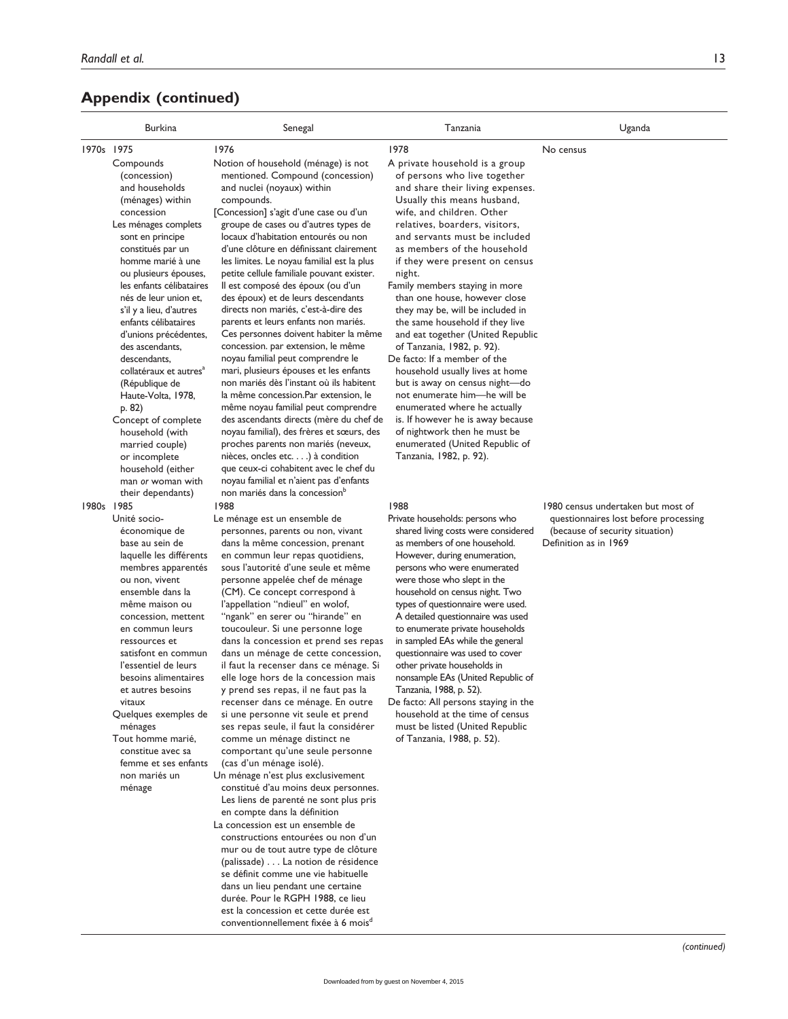# **Appendix (continued)**

|            | <b>Burkina</b>                                                                                                                                                                                                                                                                                                                                                                                                                                                                                                                                                                                        | Senegal                                                                                                                                                                                                                                                                                                                                                                                                                                                                                                                                                                                                                                                                                                                                                                                                                                                                                                                                                                                                                                                                                                                                                                                             | Tanzania                                                                                                                                                                                                                                                                                                                                                                                                                                                                                                                                                                                                                                                                                                                                                                                                                         | Uganda                                                                                                                                  |
|------------|-------------------------------------------------------------------------------------------------------------------------------------------------------------------------------------------------------------------------------------------------------------------------------------------------------------------------------------------------------------------------------------------------------------------------------------------------------------------------------------------------------------------------------------------------------------------------------------------------------|-----------------------------------------------------------------------------------------------------------------------------------------------------------------------------------------------------------------------------------------------------------------------------------------------------------------------------------------------------------------------------------------------------------------------------------------------------------------------------------------------------------------------------------------------------------------------------------------------------------------------------------------------------------------------------------------------------------------------------------------------------------------------------------------------------------------------------------------------------------------------------------------------------------------------------------------------------------------------------------------------------------------------------------------------------------------------------------------------------------------------------------------------------------------------------------------------------|----------------------------------------------------------------------------------------------------------------------------------------------------------------------------------------------------------------------------------------------------------------------------------------------------------------------------------------------------------------------------------------------------------------------------------------------------------------------------------------------------------------------------------------------------------------------------------------------------------------------------------------------------------------------------------------------------------------------------------------------------------------------------------------------------------------------------------|-----------------------------------------------------------------------------------------------------------------------------------------|
| 1970s 1975 |                                                                                                                                                                                                                                                                                                                                                                                                                                                                                                                                                                                                       | 1976                                                                                                                                                                                                                                                                                                                                                                                                                                                                                                                                                                                                                                                                                                                                                                                                                                                                                                                                                                                                                                                                                                                                                                                                | 1978                                                                                                                                                                                                                                                                                                                                                                                                                                                                                                                                                                                                                                                                                                                                                                                                                             | No census                                                                                                                               |
|            | Compounds<br>(concession)<br>and households<br>(ménages) within<br>concession<br>Les ménages complets<br>sont en principe<br>constitués par un<br>homme marié à une<br>ou plusieurs épouses,<br>les enfants célibataires<br>nés de leur union et.<br>s'il y a lieu, d'autres<br>enfants célibataires<br>d'unions précédentes,<br>des ascendants,<br>descendants,<br>collatéraux et autres <sup>a</sup><br>(République de<br>Haute-Volta, 1978,<br>p. 82)<br>Concept of complete<br>household (with<br>married couple)<br>or incomplete<br>household (either<br>man or woman with<br>their dependants) | Notion of household (ménage) is not<br>mentioned. Compound (concession)<br>and nuclei (noyaux) within<br>compounds.<br>[Concession] s'agit d'une case ou d'un<br>groupe de cases ou d'autres types de<br>locaux d'habitation entourés ou non<br>d'une clôture en définissant clairement<br>les limites. Le noyau familial est la plus<br>petite cellule familiale pouvant exister.<br>Il est composé des époux (ou d'un<br>des époux) et de leurs descendants<br>directs non mariés, c'est-à-dire des<br>parents et leurs enfants non mariés.<br>Ces personnes doivent habiter la même<br>concession. par extension, le même<br>noyau familial peut comprendre le<br>mari, plusieurs épouses et les enfants<br>non mariés dès l'instant où ils habitent<br>la même concession.Par extension, le<br>même noyau familial peut comprendre<br>des ascendants directs (mère du chef de<br>noyau familial), des frères et sœurs, des<br>proches parents non mariés (neveux,<br>nièces, oncles etc) à condition<br>que ceux-ci cohabitent avec le chef du<br>noyau familial et n'aient pas d'enfants<br>non mariés dans la concession <sup>b</sup>                                                         | A private household is a group<br>of persons who live together<br>and share their living expenses.<br>Usually this means husband,<br>wife, and children. Other<br>relatives, boarders, visitors,<br>and servants must be included<br>as members of the household<br>if they were present on census<br>night.<br>Family members staying in more<br>than one house, however close<br>they may be, will be included in<br>the same household if they live<br>and eat together (United Republic<br>of Tanzania, 1982, p. 92).<br>De facto: If a member of the<br>household usually lives at home<br>but is away on census night-do<br>not enumerate him-he will be<br>enumerated where he actually<br>is. If however he is away because<br>of nightwork then he must be<br>enumerated (United Republic of<br>Tanzania, 1982, p. 92). |                                                                                                                                         |
| 1980s 1985 | Unité socio-<br>économique de<br>base au sein de<br>laquelle les différents<br>membres apparentés<br>ou non, vivent<br>ensemble dans la<br>même maison ou<br>concession, mettent<br>en commun leurs<br>ressources et<br>satisfont en commun<br>l'essentiel de leurs<br>besoins alimentaires<br>et autres besoins<br>vitaux<br>Quelques exemples de<br>ménages<br>Tout homme marié,<br>constitue avec sa<br>femme et ses enfants<br>non mariés un<br>ménage                                                                                                                                            | 1988<br>Le ménage est un ensemble de<br>personnes, parents ou non, vivant<br>dans la même concession, prenant<br>en commun leur repas quotidiens,<br>sous l'autorité d'une seule et même<br>personne appelée chef de ménage<br>(CM). Ce concept correspond à<br>l'appellation "ndieul" en wolof,<br>"ngank" en serer ou "hirande" en<br>toucouleur. Si une personne loge<br>dans la concession et prend ses repas<br>dans un ménage de cette concession,<br>il faut la recenser dans ce ménage. Si<br>elle loge hors de la concession mais<br>y prend ses repas, il ne faut pas la<br>recenser dans ce ménage. En outre<br>si une personne vit seule et prend<br>ses repas seule, il faut la considérer<br>comme un ménage distinct ne<br>comportant qu'une seule personne<br>(cas d'un ménage isolé).<br>Un ménage n'est plus exclusivement<br>constitué d'au moins deux personnes.<br>Les liens de parenté ne sont plus pris<br>en compte dans la définition<br>La concession est un ensemble de<br>constructions entourées ou non d'un<br>mur ou de tout autre type de clôture<br>(palissade) La notion de résidence<br>se définit comme une vie habituelle<br>dans un lieu pendant une certaine | 1988<br>Private households: persons who<br>shared living costs were considered<br>as members of one household.<br>However, during enumeration,<br>persons who were enumerated<br>were those who slept in the<br>household on census night. Two<br>types of questionnaire were used.<br>A detailed questionnaire was used<br>to enumerate private households<br>in sampled EAs while the general<br>questionnaire was used to cover<br>other private households in<br>nonsample EAs (United Republic of<br>Tanzania, 1988, p. 52).<br>De facto: All persons staying in the<br>household at the time of census<br>must be listed (United Republic<br>of Tanzania, 1988, p. 52).                                                                                                                                                    | 1980 census undertaken but most of<br>questionnaires lost before processing<br>(because of security situation)<br>Definition as in 1969 |

durée. Pour le RGPH 1988, ce lieu est la concession et cette durée est conventionnellement fixée à 6 mois<sup>d</sup>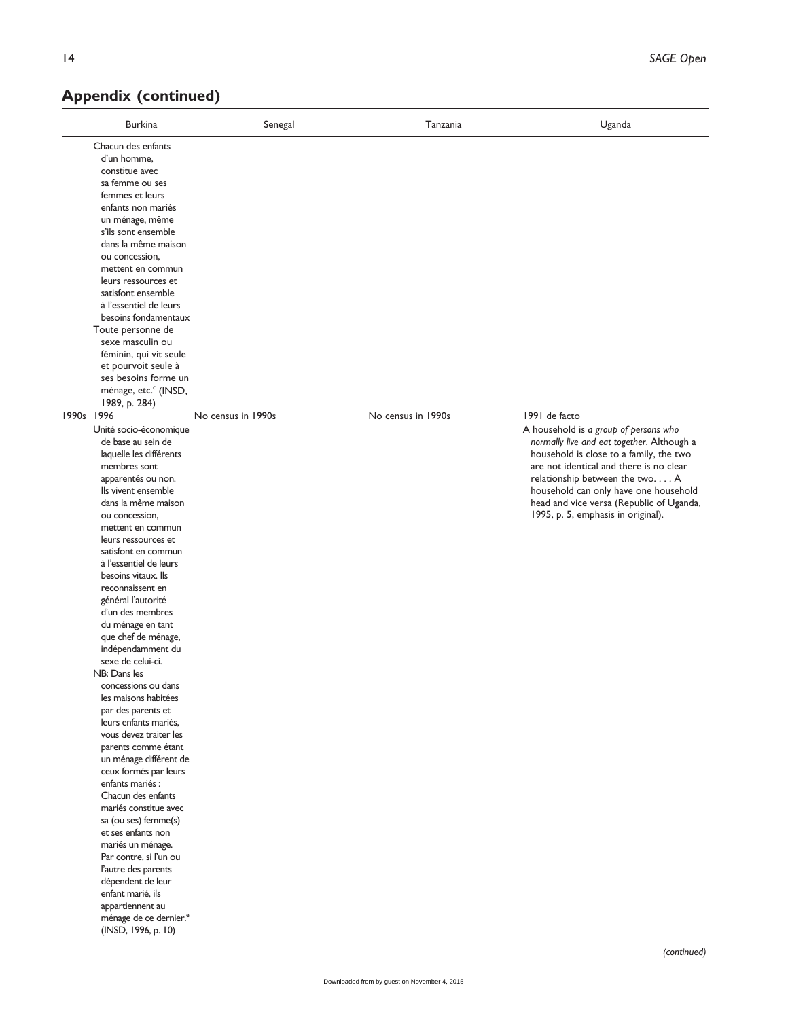# **Appendix (continued)**

(INSD, 1996, p. 10)

|            | <b>Burkina</b>                     | Senegal            | Tanzania           | Uganda                                     |
|------------|------------------------------------|--------------------|--------------------|--------------------------------------------|
|            | Chacun des enfants                 |                    |                    |                                            |
|            | d'un homme,                        |                    |                    |                                            |
|            | constitue avec                     |                    |                    |                                            |
|            | sa femme ou ses                    |                    |                    |                                            |
|            | femmes et leurs                    |                    |                    |                                            |
|            | enfants non mariés                 |                    |                    |                                            |
|            | un ménage, même                    |                    |                    |                                            |
|            | s'ils sont ensemble                |                    |                    |                                            |
|            | dans la même maison                |                    |                    |                                            |
|            | ou concession,                     |                    |                    |                                            |
|            | mettent en commun                  |                    |                    |                                            |
|            | leurs ressources et                |                    |                    |                                            |
|            | satisfont ensemble                 |                    |                    |                                            |
|            | à l'essentiel de leurs             |                    |                    |                                            |
|            | besoins fondamentaux               |                    |                    |                                            |
|            | Toute personne de                  |                    |                    |                                            |
|            | sexe masculin ou                   |                    |                    |                                            |
|            | féminin, qui vit seule             |                    |                    |                                            |
|            | et pourvoit seule à                |                    |                    |                                            |
|            | ses besoins forme un               |                    |                    |                                            |
|            | ménage, etc. <sup>c</sup> (INSD,   |                    |                    |                                            |
|            | 1989, p. 284)                      |                    |                    |                                            |
| 1990s 1996 |                                    | No census in 1990s | No census in 1990s | 1991 de facto                              |
|            | Unité socio-économique             |                    |                    | A household is a group of persons who      |
|            | de base au sein de                 |                    |                    | normally live and eat together. Although a |
|            | laquelle les différents            |                    |                    | household is close to a family, the two    |
|            | membres sont                       |                    |                    | are not identical and there is no clear    |
|            | apparentés ou non.                 |                    |                    | relationship between the two A             |
|            | Ils vivent ensemble                |                    |                    | household can only have one household      |
|            | dans la même maison                |                    |                    | head and vice versa (Republic of Uganda,   |
|            | ou concession,                     |                    |                    | 1995, p. 5, emphasis in original).         |
|            | mettent en commun                  |                    |                    |                                            |
|            | leurs ressources et                |                    |                    |                                            |
|            | satisfont en commun                |                    |                    |                                            |
|            | à l'essentiel de leurs             |                    |                    |                                            |
|            | besoins vitaux. Ils                |                    |                    |                                            |
|            | reconnaissent en                   |                    |                    |                                            |
|            | général l'autorité                 |                    |                    |                                            |
|            | d'un des membres                   |                    |                    |                                            |
|            | du ménage en tant                  |                    |                    |                                            |
|            | que chef de ménage,                |                    |                    |                                            |
|            | indépendamment du                  |                    |                    |                                            |
|            | sexe de celui-ci.                  |                    |                    |                                            |
|            | NB: Dans les                       |                    |                    |                                            |
|            | concessions ou dans                |                    |                    |                                            |
|            | les maisons habitées               |                    |                    |                                            |
|            | par des parents et                 |                    |                    |                                            |
|            | leurs enfants mariés,              |                    |                    |                                            |
|            | vous devez traiter les             |                    |                    |                                            |
|            | parents comme étant                |                    |                    |                                            |
|            | un ménage différent de             |                    |                    |                                            |
|            | ceux formés par leurs              |                    |                    |                                            |
|            | enfants mariés :                   |                    |                    |                                            |
|            | Chacun des enfants                 |                    |                    |                                            |
|            | mariés constitue avec              |                    |                    |                                            |
|            | sa (ou ses) femme(s)               |                    |                    |                                            |
|            | et ses enfants non                 |                    |                    |                                            |
|            | mariés un ménage.                  |                    |                    |                                            |
|            | Par contre, si l'un ou             |                    |                    |                                            |
|            | l'autre des parents                |                    |                    |                                            |
|            | dépendent de leur                  |                    |                    |                                            |
|            | enfant marié, ils                  |                    |                    |                                            |
|            | appartiennent au                   |                    |                    |                                            |
|            | ménage de ce dernier. <sup>e</sup> |                    |                    |                                            |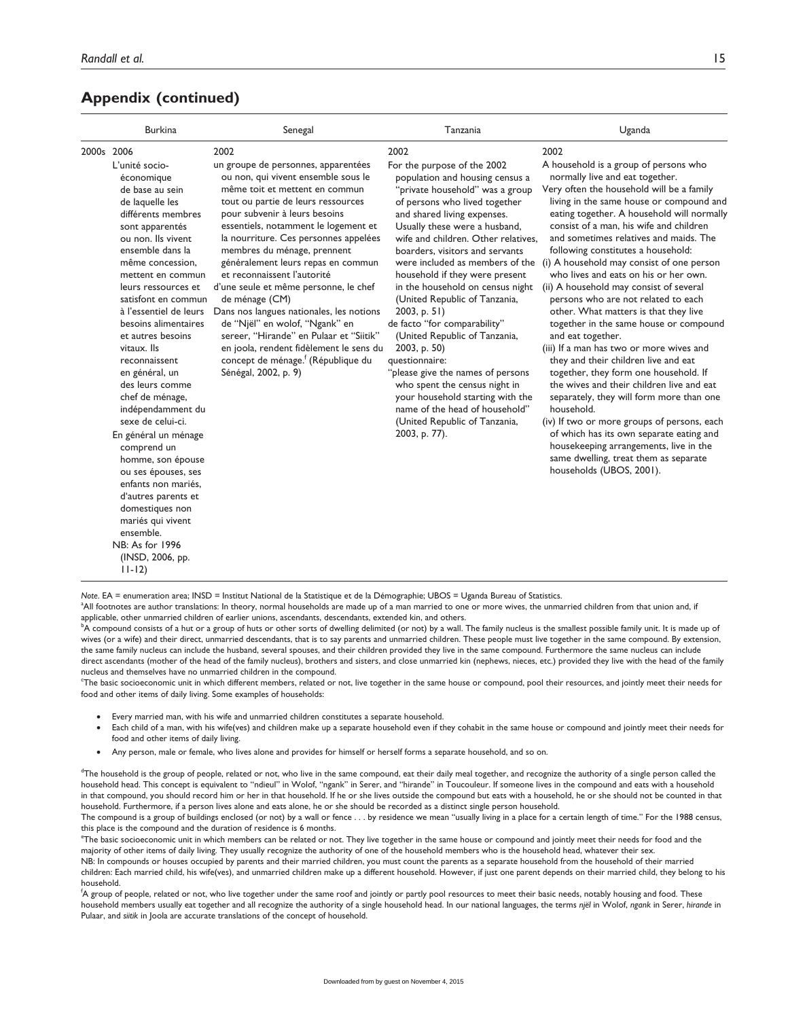# **Appendix (continued)**

|            | <b>Burkina</b>                                                                                                                                                                                                                                                                                                                                                                                                                                                                                                                                                                                                                                                                                | Senegal                                                                                                                                                                                                                                                                                                                                                                                                                                                                                                                                                                                                                                                                                   | Tanzania                                                                                                                                                                                                                                                                                                                                                                                                                                                                                                                                                                                                                                                                                                        | Uganda                                                                                                                                                                                                                                                                                                                                                                                                                                                                                                                                                                                                                                                                                                                                                                                                                                                                                                                                                                                                                                                                                                           |
|------------|-----------------------------------------------------------------------------------------------------------------------------------------------------------------------------------------------------------------------------------------------------------------------------------------------------------------------------------------------------------------------------------------------------------------------------------------------------------------------------------------------------------------------------------------------------------------------------------------------------------------------------------------------------------------------------------------------|-------------------------------------------------------------------------------------------------------------------------------------------------------------------------------------------------------------------------------------------------------------------------------------------------------------------------------------------------------------------------------------------------------------------------------------------------------------------------------------------------------------------------------------------------------------------------------------------------------------------------------------------------------------------------------------------|-----------------------------------------------------------------------------------------------------------------------------------------------------------------------------------------------------------------------------------------------------------------------------------------------------------------------------------------------------------------------------------------------------------------------------------------------------------------------------------------------------------------------------------------------------------------------------------------------------------------------------------------------------------------------------------------------------------------|------------------------------------------------------------------------------------------------------------------------------------------------------------------------------------------------------------------------------------------------------------------------------------------------------------------------------------------------------------------------------------------------------------------------------------------------------------------------------------------------------------------------------------------------------------------------------------------------------------------------------------------------------------------------------------------------------------------------------------------------------------------------------------------------------------------------------------------------------------------------------------------------------------------------------------------------------------------------------------------------------------------------------------------------------------------------------------------------------------------|
| 2000s 2006 | L'unité socio-<br>économique<br>de base au sein<br>de laquelle les<br>différents membres<br>sont apparentés<br>ou non. Ils vivent<br>ensemble dans la<br>même concession.<br>mettent en commun<br>leurs ressources et<br>satisfont en commun<br>à l'essentiel de leurs<br>besoins alimentaires<br>et autres besoins<br>vitaux. Ils<br>reconnaissent<br>en général, un<br>des leurs comme<br>chef de ménage,<br>indépendamment du<br>sexe de celui-ci.<br>En général un ménage<br>comprend un<br>homme, son épouse<br>ou ses épouses, ses<br>enfants non mariés,<br>d'autres parents et<br>domestiques non<br>mariés qui vivent<br>ensemble.<br>NB: As for 1996<br>(INSD, 2006, pp.<br>$11-12$ | 2002<br>un groupe de personnes, apparentées<br>ou non, qui vivent ensemble sous le<br>même toit et mettent en commun<br>tout ou partie de leurs ressources<br>pour subvenir à leurs besoins<br>essentiels, notamment le logement et<br>la nourriture. Ces personnes appelées<br>membres du ménage, prennent<br>généralement leurs repas en commun<br>et reconnaissent l'autorité<br>d'une seule et même personne, le chef<br>de ménage (CM)<br>Dans nos langues nationales, les notions<br>de "Njël" en wolof, "Ngank" en<br>sereer, "Hirande" en Pulaar et "Siitik"<br>en joola, rendent fidèlement le sens du<br>concept de ménage. <sup>†</sup> (République du<br>Sénégal, 2002, p. 9) | 2002<br>For the purpose of the 2002<br>population and housing census a<br>"private household" was a group<br>of persons who lived together<br>and shared living expenses.<br>Usually these were a husband,<br>wife and children. Other relatives.<br>boarders, visitors and servants<br>household if they were present<br>in the household on census night<br>(United Republic of Tanzania,<br>$2003$ , p. 51)<br>de facto "for comparability"<br>(United Republic of Tanzania,<br>2003, p. 50)<br>questionnaire:<br>"please give the names of persons<br>who spent the census night in<br>your household starting with the<br>name of the head of household"<br>(United Republic of Tanzania,<br>2003, p. 77). | 2002<br>A household is a group of persons who<br>normally live and eat together.<br>Very often the household will be a family<br>living in the same house or compound and<br>eating together. A household will normally<br>consist of a man, his wife and children<br>and sometimes relatives and maids. The<br>following constitutes a household:<br>were included as members of the (i) A household may consist of one person<br>who lives and eats on his or her own.<br>(ii) A household may consist of several<br>persons who are not related to each<br>other. What matters is that they live<br>together in the same house or compound<br>and eat together.<br>(iii) If a man has two or more wives and<br>they and their children live and eat<br>together, they form one household. If<br>the wives and their children live and eat<br>separately, they will form more than one<br>household.<br>(iv) If two or more groups of persons, each<br>of which has its own separate eating and<br>housekeeping arrangements, live in the<br>same dwelling, treat them as separate<br>households (UBOS, 2001). |

*Note*. EA = enumeration area; INSD = Institut National de la Statistique et de la Démographie; UBOS = Uganda Bureau of Statistics.

a All footnotes are author translations: In theory, normal households are made up of a man married to one or more wives, the unmarried children from that union and, if applicable, other unmarried children of earlier unions, ascendants, descendants, extended kin, and others.

<sub>b</sub><br>A compound consists of a hut or a group of huts or other sorts of dwelling delimited (or not) by a wall. The family nucleus is the smallest possible family unit. It is made up of wives (or a wife) and their direct, unmarried descendants, that is to say parents and unmarried children. These people must live together in the same compound. By extension, the same family nucleus can include the husband, several spouses, and their children provided they live in the same compound. Furthermore the same nucleus can include direct ascendants (mother of the head of the family nucleus), brothers and sisters, and close unmarried kin (nephews, nieces, etc.) provided they live with the head of the family nucleus and themselves have no unmarried children in the compound.

c The basic socioeconomic unit in which different members, related or not, live together in the same house or compound, pool their resources, and jointly meet their needs for food and other items of daily living. Some examples of households:

- Every married man, with his wife and unmarried children constitutes a separate household.
- Each child of a man, with his wife(ves) and children make up a separate household even if they cohabit in the same house or compound and jointly meet their needs for food and other items of daily living.
- • Any person, male or female, who lives alone and provides for himself or herself forms a separate household, and so on.

<sup>d</sup>The household is the group of people, related or not, who live in the same compound, eat their daily meal together, and recognize the authority of a single person called the household head. This concept is equivalent to "ndieul" in Wolof, "ngank" in Serer, and "hirande" in Toucouleur. If someone lives in the compound and eats with a household in that compound, you should record him or her in that household. If he or she lives outside the compound but eats with a household, he or she should not be counted in that household. Furthermore, if a person lives alone and eats alone, he or she should be recorded as a distinct single person household. The compound is a group of buildings enclosed (or not) by a wall or fence . . . by residence we mean "usually living in a place for a certain length of time." For the 1988 census, this place is the compound and the duration of residence is 6 months.

e The basic socioeconomic unit in which members can be related or not. They live together in the same house or compound and jointly meet their needs for food and the majority of other items of daily living. They usually recognize the authority of one of the household members who is the household head, whatever their sex. NB: In compounds or houses occupied by parents and their married children, you must count the parents as a separate household from the household of their married children: Each married child, his wife(ves), and unmarried children make up a different household. However, if just one parent depends on their married child, they belong to his household.

.<br>'A group of people, related or not, who live together under the same roof and jointly or partly pool resources to meet their basic needs, notably housing and food. These household members usually eat together and all recognize the authority of a single household head. In our national languages, the terms *njël* in Wolof, *ngank* in Serer, *hirande* in Pulaar, and *siitik* in Joola are accurate translations of the concept of household.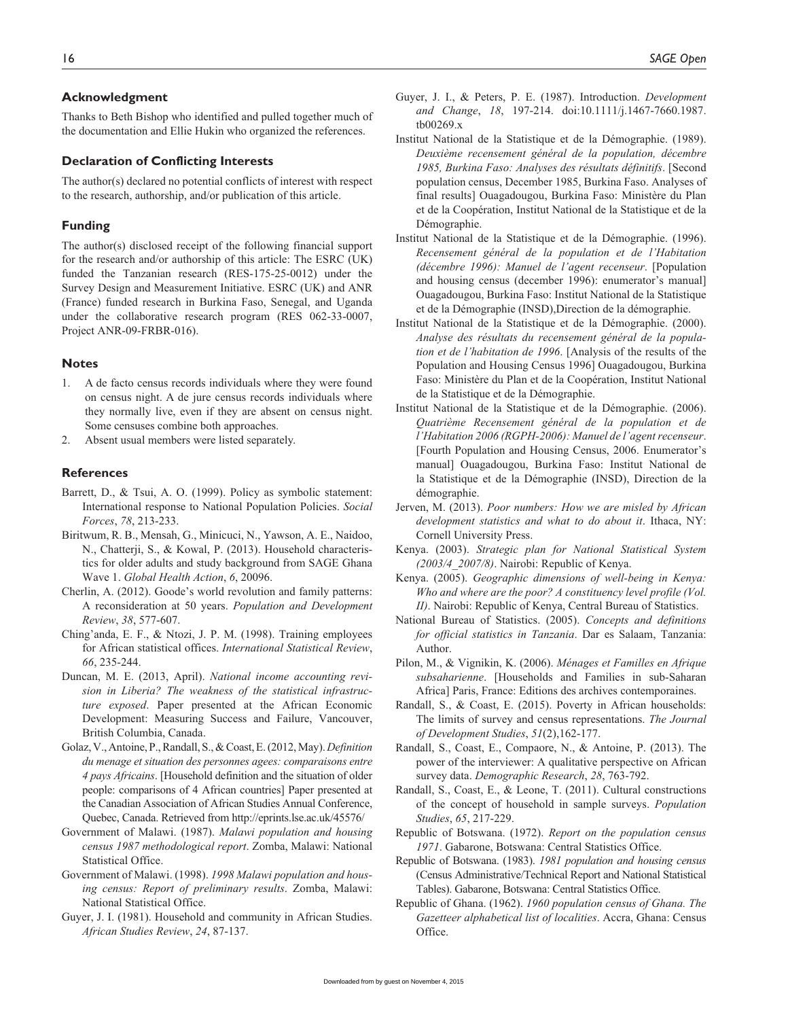### **Acknowledgment**

Thanks to Beth Bishop who identified and pulled together much of the documentation and Ellie Hukin who organized the references.

#### **Declaration of Conflicting Interests**

The author(s) declared no potential conflicts of interest with respect to the research, authorship, and/or publication of this article.

#### **Funding**

The author(s) disclosed receipt of the following financial support for the research and/or authorship of this article: The ESRC (UK) funded the Tanzanian research (RES-175-25-0012) under the Survey Design and Measurement Initiative. ESRC (UK) and ANR (France) funded research in Burkina Faso, Senegal, and Uganda under the collaborative research program (RES 062-33-0007, Project ANR-09-FRBR-016).

#### **Notes**

- 1. A de facto census records individuals where they were found on census night. A de jure census records individuals where they normally live, even if they are absent on census night. Some censuses combine both approaches.
- 2. Absent usual members were listed separately.

#### **References**

- Barrett, D., & Tsui, A. O. (1999). Policy as symbolic statement: International response to National Population Policies. *Social Forces*, *78*, 213-233.
- Biritwum, R. B., Mensah, G., Minicuci, N., Yawson, A. E., Naidoo, N., Chatterji, S., & Kowal, P. (2013). Household characteristics for older adults and study background from SAGE Ghana Wave 1. *Global Health Action*, *6*, 20096.
- Cherlin, A. (2012). Goode's world revolution and family patterns: A reconsideration at 50 years. *Population and Development Review*, *38*, 577-607.
- Ching'anda, E. F., & Ntozi, J. P. M. (1998). Training employees for African statistical offices. *International Statistical Review*, *66*, 235-244.
- Duncan, M. E. (2013, April). *National income accounting revision in Liberia? The weakness of the statistical infrastructure exposed*. Paper presented at the African Economic Development: Measuring Success and Failure, Vancouver, British Columbia, Canada.
- Golaz, V., Antoine, P., Randall, S., & Coast, E. (2012, May). *Definition du menage et situation des personnes agees: comparaisons entre 4 pays Africains*. [Household definition and the situation of older people: comparisons of 4 African countries] Paper presented at the Canadian Association of African Studies Annual Conference, Quebec, Canada. Retrieved from<http://eprints.lse.ac.uk/45576/>
- Government of Malawi. (1987). *Malawi population and housing census 1987 methodological report*. Zomba, Malawi: National Statistical Office.
- Government of Malawi. (1998). *1998 Malawi population and housing census: Report of preliminary results*. Zomba, Malawi: National Statistical Office.
- Guyer, J. I. (1981). Household and community in African Studies. *African Studies Review*, *24*, 87-137.
- Guyer, J. I., & Peters, P. E. (1987). Introduction. *Development and Change*, *18*, 197-214. doi:10.1111/j.1467-7660.1987. tb00269.x
- Institut National de la Statistique et de la Démographie. (1989). *Deuxième recensement général de la population, décembre 1985, Burkina Faso: Analyses des résultats définitifs*. [Second population census, December 1985, Burkina Faso. Analyses of final results] Ouagadougou, Burkina Faso: Ministère du Plan et de la Coopération, Institut National de la Statistique et de la Démographie.
- Institut National de la Statistique et de la Démographie. (1996). *Recensement général de la population et de l'Habitation (décembre 1996): Manuel de l'agent recenseur*. [Population and housing census (december 1996): enumerator's manual] Ouagadougou, Burkina Faso: Institut National de la Statistique et de la Démographie (INSD),Direction de la démographie.
- Institut National de la Statistique et de la Démographie. (2000). *Analyse des résultats du recensement général de la population et de l'habitation de 1996*. [Analysis of the results of the Population and Housing Census 1996] Ouagadougou, Burkina Faso: Ministère du Plan et de la Coopération, Institut National de la Statistique et de la Démographie.
- Institut National de la Statistique et de la Démographie. (2006). *Quatrième Recensement général de la population et de l'Habitation 2006 (RGPH-2006): Manuel de l'agent recenseur*. [Fourth Population and Housing Census, 2006. Enumerator's manual] Ouagadougou, Burkina Faso: Institut National de la Statistique et de la Démographie (INSD), Direction de la démographie.
- Jerven, M. (2013). *Poor numbers: How we are misled by African development statistics and what to do about it*. Ithaca, NY: Cornell University Press.
- Kenya. (2003). *Strategic plan for National Statistical System (2003/4\_2007/8)*. Nairobi: Republic of Kenya.
- Kenya. (2005). *Geographic dimensions of well-being in Kenya: Who and where are the poor? A constituency level profile (Vol. II)*. Nairobi: Republic of Kenya, Central Bureau of Statistics.
- National Bureau of Statistics. (2005). *Concepts and definitions for official statistics in Tanzania*. Dar es Salaam, Tanzania: Author.
- Pilon, M., & Vignikin, K. (2006). *Ménages et Familles en Afrique subsaharienne*. [Households and Families in sub-Saharan Africa] Paris, France: Editions des archives contemporaines.
- Randall, S., & Coast, E. (2015). Poverty in African households: The limits of survey and census representations. *The Journal of Development Studies*, *51*(2),162-177.
- Randall, S., Coast, E., Compaore, N., & Antoine, P. (2013). The power of the interviewer: A qualitative perspective on African survey data. *Demographic Research*, *28*, 763-792.
- Randall, S., Coast, E., & Leone, T. (2011). Cultural constructions of the concept of household in sample surveys. *Population Studies*, *65*, 217-229.
- Republic of Botswana. (1972). *Report on the population census 1971*. Gabarone, Botswana: Central Statistics Office.
- Republic of Botswana. (1983). *1981 population and housing census* (Census Administrative/Technical Report and National Statistical Tables). Gabarone, Botswana: Central Statistics Office.
- Republic of Ghana. (1962). *1960 population census of Ghana. The Gazetteer alphabetical list of localities*. Accra, Ghana: Census Office.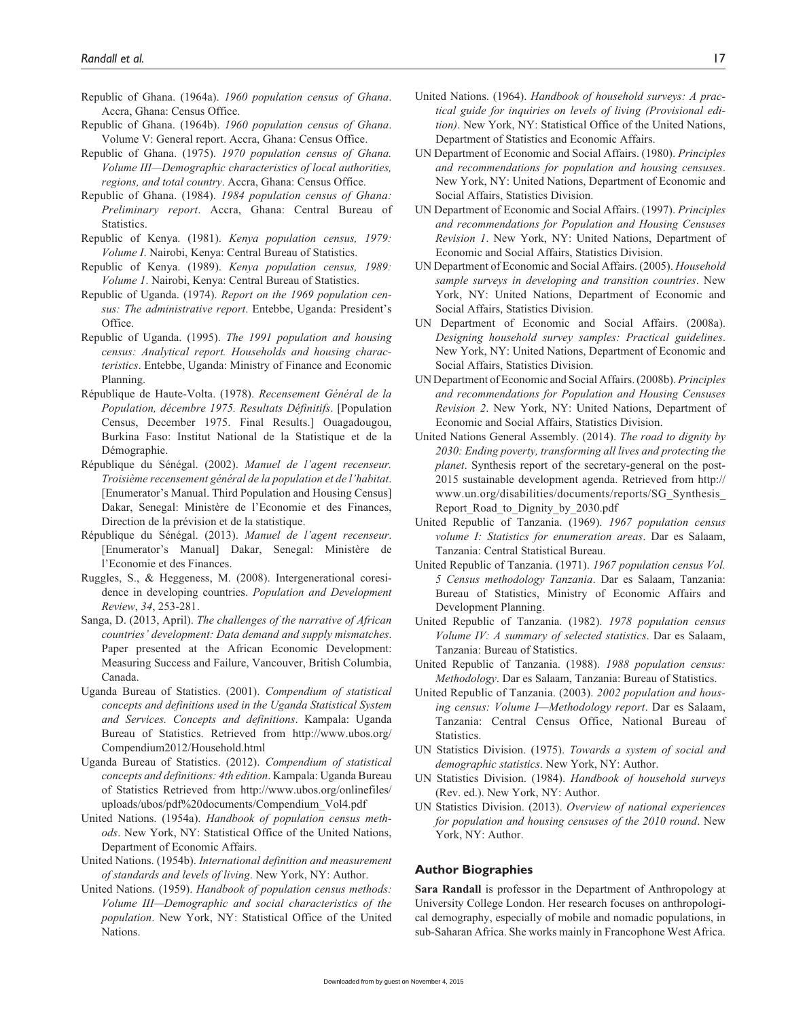- Republic of Ghana. (1964a). *1960 population census of Ghana*. Accra, Ghana: Census Office.
- Republic of Ghana. (1964b). *1960 population census of Ghana*. Volume V: General report. Accra, Ghana: Census Office.
- Republic of Ghana. (1975). *1970 population census of Ghana. Volume III—Demographic characteristics of local authorities, regions, and total country*. Accra, Ghana: Census Office.
- Republic of Ghana. (1984). *1984 population census of Ghana: Preliminary report*. Accra, Ghana: Central Bureau of Statistics.
- Republic of Kenya. (1981). *Kenya population census, 1979: Volume I*. Nairobi, Kenya: Central Bureau of Statistics.
- Republic of Kenya. (1989). *Kenya population census, 1989: Volume 1*. Nairobi, Kenya: Central Bureau of Statistics.
- Republic of Uganda. (1974). *Report on the 1969 population census: The administrative report*. Entebbe, Uganda: President's Office.
- Republic of Uganda. (1995). *The 1991 population and housing census: Analytical report. Households and housing characteristics*. Entebbe, Uganda: Ministry of Finance and Economic Planning.
- République de Haute-Volta. (1978). *Recensement Général de la Population, décembre 1975. Resultats Définitifs*. [Population Census, December 1975. Final Results.] Ouagadougou, Burkina Faso: Institut National de la Statistique et de la Démographie.
- République du Sénégal. (2002). *Manuel de l'agent recenseur. Troisième recensement général de la population et de l'habitat*. [Enumerator's Manual. Third Population and Housing Census] Dakar, Senegal: Ministère de l'Economie et des Finances, Direction de la prévision et de la statistique.
- République du Sénégal. (2013). *Manuel de l'agent recenseur*. [Enumerator's Manual] Dakar, Senegal: Ministère de l'Economie et des Finances.
- Ruggles, S., & Heggeness, M. (2008). Intergenerational coresidence in developing countries. *Population and Development Review*, *34*, 253-281.
- Sanga, D. (2013, April). *The challenges of the narrative of African countries' development: Data demand and supply mismatches*. Paper presented at the African Economic Development: Measuring Success and Failure, Vancouver, British Columbia, Canada.
- Uganda Bureau of Statistics. (2001). *Compendium of statistical concepts and definitions used in the Uganda Statistical System and Services. Concepts and definitions*. Kampala: Uganda Bureau of Statistics. Retrieved from [http://www.ubos.org/](http://www.ubos.org/Compendium2012/Household.html) [Compendium2012/Household.html](http://www.ubos.org/Compendium2012/Household.html)
- Uganda Bureau of Statistics. (2012). *Compendium of statistical concepts and definitions: 4th edition*. Kampala: Uganda Bureau of Statistics Retrieved from [http://www.ubos.org/onlinefiles/](http://www.ubos.org/onlinefiles/uploads/ubos/pdf%20documents/Compendium_Vol4.pdf) [uploads/ubos/pdf%20documents/Compendium\\_Vol4.pdf](http://www.ubos.org/onlinefiles/uploads/ubos/pdf%20documents/Compendium_Vol4.pdf)
- United Nations. (1954a). *Handbook of population census methods*. New York, NY: Statistical Office of the United Nations, Department of Economic Affairs.
- United Nations. (1954b). *International definition and measurement of standards and levels of living*. New York, NY: Author.
- United Nations. (1959). *Handbook of population census methods: Volume III—Demographic and social characteristics of the population*. New York, NY: Statistical Office of the United Nations.
- United Nations. (1964). *Handbook of household surveys: A practical guide for inquiries on levels of living (Provisional edition)*. New York, NY: Statistical Office of the United Nations, Department of Statistics and Economic Affairs.
- UN Department of Economic and Social Affairs. (1980). *Principles and recommendations for population and housing censuses*. New York, NY: United Nations, Department of Economic and Social Affairs, Statistics Division.
- UN Department of Economic and Social Affairs. (1997). *Principles and recommendations for Population and Housing Censuses Revision 1*. New York, NY: United Nations, Department of Economic and Social Affairs, Statistics Division.
- UN Department of Economic and Social Affairs. (2005). *Household sample surveys in developing and transition countries*. New York, NY: United Nations, Department of Economic and Social Affairs, Statistics Division.
- UN Department of Economic and Social Affairs. (2008a). *Designing household survey samples: Practical guidelines*. New York, NY: United Nations, Department of Economic and Social Affairs, Statistics Division.
- UN Department of Economic and Social Affairs. (2008b). *Principles and recommendations for Population and Housing Censuses Revision 2*. New York, NY: United Nations, Department of Economic and Social Affairs, Statistics Division.
- United Nations General Assembly. (2014). *The road to dignity by 2030: Ending poverty, transforming all lives and protecting the planet*. Synthesis report of the secretary-general on the post-2015 sustainable development agenda. Retrieved from [http://](http://www.un.org/disabilities/documents/reports/SG_Synthesis_Report_Road_to_Dignity_by_2030.pdf) [www.un.org/disabilities/documents/reports/SG\\_Synthesis\\_](http://www.un.org/disabilities/documents/reports/SG_Synthesis_Report_Road_to_Dignity_by_2030.pdf) [Report\\_Road\\_to\\_Dignity\\_by\\_2030.pdf](http://www.un.org/disabilities/documents/reports/SG_Synthesis_Report_Road_to_Dignity_by_2030.pdf)
- United Republic of Tanzania. (1969). *1967 population census volume I: Statistics for enumeration areas*. Dar es Salaam, Tanzania: Central Statistical Bureau.
- United Republic of Tanzania. (1971). *1967 population census Vol. 5 Census methodology Tanzania*. Dar es Salaam, Tanzania: Bureau of Statistics, Ministry of Economic Affairs and Development Planning.
- United Republic of Tanzania. (1982). *1978 population census Volume IV: A summary of selected statistics*. Dar es Salaam, Tanzania: Bureau of Statistics.
- United Republic of Tanzania. (1988). *1988 population census: Methodology*. Dar es Salaam, Tanzania: Bureau of Statistics.
- United Republic of Tanzania. (2003). *2002 population and housing census: Volume I—Methodology report*. Dar es Salaam, Tanzania: Central Census Office, National Bureau of Statistics.
- UN Statistics Division. (1975). *Towards a system of social and demographic statistics*. New York, NY: Author.
- UN Statistics Division. (1984). *Handbook of household surveys* (Rev. ed.). New York, NY: Author.
- UN Statistics Division. (2013). *Overview of national experiences for population and housing censuses of the 2010 round*. New York, NY: Author.

### **Author Biographies**

**Sara Randall** is professor in the Department of Anthropology at University College London. Her research focuses on anthropological demography, especially of mobile and nomadic populations, in sub-Saharan Africa. She works mainly in Francophone West Africa.